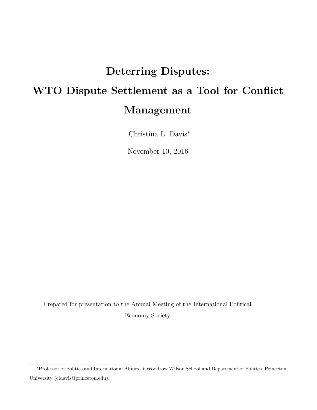# Deterring Disputes: WTO Dispute Settlement as a Tool for Conflict Management

Christina L. Davis<sup>∗</sup>

November 10, 2016

Prepared for presentation to the Annual Meeting of the International Political Economy Society

<sup>∗</sup>Professor of Politics and International Affairs at Woodrow Wilson School and Department of Politics, Princeton University (cldavis@princeton.edu).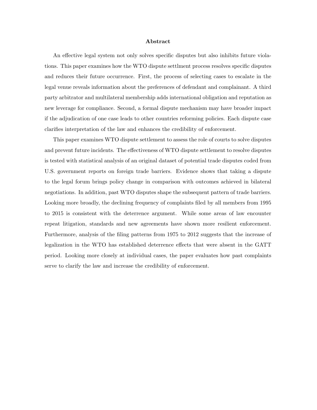#### Abstract

An effective legal system not only solves specific disputes but also inhibits future violations. This paper examines how the WTO dispute settlment process resolves specific disputes and reduces their future occurrence. First, the process of selecting cases to escalate in the legal venue reveals information about the preferences of defendant and complainant. A third party arbitrator and multilateral membership adds international obligation and reputation as new leverage for compliance. Second, a formal dispute mechanism may have broader impact if the adjudication of one case leads to other countries reforming policies. Each dispute case clarifies interpretation of the law and enhances the credibility of enforcement.

This paper examines WTO dispute settlement to assess the role of courts to solve disputes and prevent future incidents. The effectiveness of WTO dispute settlement to resolve disputes is tested with statistical analysis of an original dataset of potential trade disputes coded from U.S. government reports on foreign trade barriers. Evidence shows that taking a dispute to the legal forum brings policy change in comparison with outcomes achieved in bilateral negotiations. In addition, past WTO disputes shape the subsequent pattern of trade barriers. Looking more broadly, the declining frequency of complaints filed by all members from 1995 to 2015 is consistent with the deterrence argument. While some areas of law encounter repeat litigation, standards and new agreements have shown more resilient enforcement. Furthermore, analysis of the filing patterns from 1975 to 2012 suggests that the increase of legalization in the WTO has established deterrence effects that were absent in the GATT period. Looking more closely at individual cases, the paper evaluates how past complaints serve to clarify the law and increase the credibility of enforcement.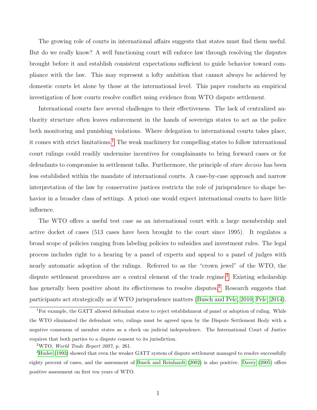The growing role of courts in international affairs suggests that states must find them useful. But do we really know? A well functioning court will enforce law through resolving the disputes brought before it and establish consistent expectations sufficient to guide behavior toward compliance with the law. This may represent a lofty ambition that cannot always be achieved by domestic courts let alone by those at the international level. This paper conducts an empirical investigation of how courts resolve conflict using evidence from WTO dispute settlement.

International courts face several challenges to their effectiveness. The lack of centralized authority structure often leaves enforcement in the hands of sovereign states to act as the police both monitoring and punishing violations. Where delegation to international courts takes place, it comes with strict limitations.<sup>[1](#page-2-0)</sup> The weak machinery for compelling states to follow international court rulings could readily undermine incentives for complainants to bring forward cases or for defendants to compromise in settlement talks. Furthermore, the principle of *stare decisis* has been less established within the mandate of international courts. A case-by-case approach and narrow interpretation of the law by conservative justices restricts the role of jurisprudence to shape behavior in a broader class of settings. A priori one would expect international courts to have little influence.

The WTO offers a useful test case as an international court with a large membership and active docket of cases (513 cases have been brought to the court since 1995). It regulates a broad scope of policies ranging from labeling policies to subsidies and investment rules. The legal process includes right to a hearing by a panel of experts and appeal to a panel of judges with nearly automatic adoption of the rulings. Referred to as the "crown jewel" of the WTO, the dispute settlement procedures are a central element of the trade regime.<sup>[2](#page-2-1)</sup> Existing scholarship has generally been positive about its effectiveness to resolve disputes.<sup>[3](#page-2-2)</sup> Research suggests that participants act strategically as if WTO jurisprudence matters [\(Busch and Pelc, 2010;](#page-39-0) [Pelc, 2014\)](#page-41-0).

<span id="page-2-0"></span><sup>&</sup>lt;sup>1</sup>For example, the GATT allowed defendant states to reject establishment of panel or adoption of ruling. While the WTO eliminated the defendant veto, rulings must be agreed upon by the Dispute Settlement Body with a negative consensus of member states as a check on judicial independence. The International Court of Justice requires that both parties to a dispute consent to its jurisdiction.

<span id="page-2-2"></span><span id="page-2-1"></span> $2WTO$ , *World Trade Report 2007*, p. 261.

<sup>&</sup>lt;sup>3</sup>[Hudec](#page-40-0) [\(1993\)](#page-40-0) showed that even the weaker GATT system of dispute settlement managed to resolve successfully eighty percent of cases, and the assessment of [Busch and Reinhardt](#page-38-0) [\(2002\)](#page-38-0) is also positive. [Davey](#page-39-1) [\(2005\)](#page-39-1) offers positive assessment on first ten years of WTO.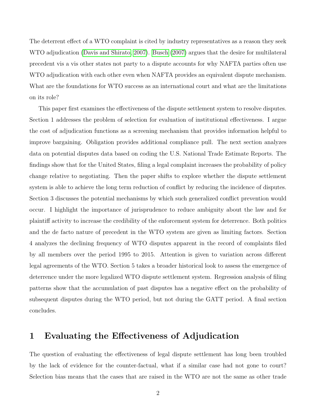The deterrent effect of a WTO complaint is cited by industry representatives as a reason they seek WTO adjudication [\(Davis and Shirato, 2007\)](#page-39-2). [Busch](#page-38-1) [\(2007\)](#page-38-1) argues that the desire for multilateral precedent vis a vis other states not party to a dispute accounts for why NAFTA parties often use WTO adjudication with each other even when NAFTA provides an equivalent dispute mechanism. What are the foundations for WTO success as an international court and what are the limitations on its role?

This paper first examines the effectiveness of the dispute settlement system to resolve disputes. Section 1 addresses the problem of selection for evaluation of institutional effectiveness. I argue the cost of adjudication functions as a screening mechanism that provides information helpful to improve bargaining. Obligation provides additional compliance pull. The next section analyzes data on potential disputes data based on coding the U.S. National Trade Estimate Reports. The findings show that for the United States, filing a legal complaint increases the probability of policy change relative to negotiating. Then the paper shifts to explore whether the dispute settlement system is able to achieve the long term reduction of conflict by reducing the incidence of disputes. Section 3 discusses the potential mechanisms by which such generalized conflict prevention would occur. I highlight the importance of jurisprudence to reduce ambiguity about the law and for plaintiff activity to increase the credibility of the enforcement system for deterrence. Both politics and the de facto nature of precedent in the WTO system are given as limiting factors. Section 4 analyzes the declining frequency of WTO disputes apparent in the record of complaints filed by all members over the period 1995 to 2015. Attention is given to variation across different legal agreements of the WTO. Section 5 takes a broader historical look to assess the emergence of deterrence under the more legalized WTO dispute settlement system. Regression analysis of filing patterns show that the accumulation of past disputes has a negative effect on the probability of subsequent disputes during the WTO period, but not during the GATT period. A final section concludes.

## 1 Evaluating the Effectiveness of Adjudication

The question of evaluating the effectiveness of legal dispute settlement has long been troubled by the lack of evidence for the counter-factual, what if a similar case had not gone to court? Selection bias means that the cases that are raised in the WTO are not the same as other trade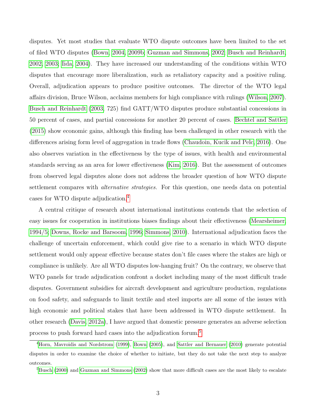disputes. Yet most studies that evaluate WTO dispute outcomes have been limited to the set of filed WTO disputes [\(Bown, 2004,](#page-38-2) [2009b;](#page-38-3) [Guzman and Simmons, 2002;](#page-40-1) [Busch and Reinhardt,](#page-38-0) [2002,](#page-38-0) [2003;](#page-38-4) [Iida, 2004\)](#page-40-2). They have increased our understanding of the conditions within WTO disputes that encourage more liberalization, such as retaliatory capacity and a positive ruling. Overall, adjudication appears to produce positive outcomes. The director of the WTO legal affairs division, Bruce Wilson, acclaims members for high compliance with rulings [\(Wilson, 2007\)](#page-42-0). [Busch and Reinhardt](#page-38-4) [\(2003,](#page-38-4) 725) find GATT/WTO disputes produce substantial concessions in 50 percent of cases, and partial concessions for another 20 percent of cases. [Bechtel and Sattler](#page-38-5) [\(2015\)](#page-38-5) show economic gains, although this finding has been challenged in other research with the differences arising form level of aggregation in trade flows [\(Chaudoin, Kucik and Pelc, 2016\)](#page-39-3). One also observes variation in the effectiveness by the type of issues, with health and environmental standards serving as an area for lower effectiveness [\(Kim, 2016\)](#page-41-1). But the assessment of outcomes from observed legal disputes alone does not address the broader question of how WTO dispute settlement compares with *alternative strategies*. For this question, one needs data on potential cases for WTO dispute adjudication.[4](#page-4-0)

A central critique of research about international institutions contends that the selection of easy issues for cooperation in institutions biases findings about their effectiveness [\(Mearsheimer,](#page-41-2) [1994/5;](#page-41-2) [Downs, Rocke and Barsoom, 1996;](#page-39-4) [Simmons, 2010\)](#page-42-1). International adjudication faces the challenge of uncertain enforcement, which could give rise to a scenario in which WTO dispute settlement would only appear effective because states don't file cases where the stakes are high or compliance is unlikely. Are all WTO disputes low-hanging fruit? On the contrary, we observe that WTO panels for trade adjudication confront a docket including many of the most difficult trade disputes. Government subsidies for aircraft development and agriculture production, regulations on food safety, and safeguards to limit textile and steel imports are all some of the issues with high economic and political stakes that have been addressed in WTO dispute settlement. In other research [\(Davis, 2012a\)](#page-39-5), I have argued that domestic pressure generates an adverse selection process to push forward hard cases into the adjudication forum.[5](#page-4-1)

<span id="page-4-0"></span><sup>&</sup>lt;sup>4</sup>[Horn, Mavroidis and Nordstrom](#page-40-3) [\(1999\)](#page-40-3), [Bown](#page-38-6) [\(2005\)](#page-38-6), and [Sattler and Bernauer](#page-42-2) [\(2010\)](#page-42-2) generate potential disputes in order to examine the choice of whether to initiate, but they do not take the next step to analyze outcomes.

<span id="page-4-1"></span><sup>&</sup>lt;sup>5</sup>[Busch](#page-38-7) [\(2000\)](#page-38-7) and [Guzman and Simmons](#page-40-1) [\(2002\)](#page-40-1) show that more difficult cases are the most likely to escalate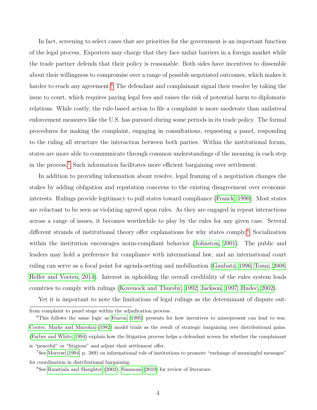In fact, screening to select cases that are priorities for the government is an important function of the legal process. Exporters may charge that they face unfair barriers in a foreign market while the trade partner defends that their policy is reasonable. Both sides have incentives to dissemble about their willingness to compromise over a range of possible negotiated outcomes, which makes it harder to reach any agreement.<sup>[6](#page-5-0)</sup> The defendant and complainant signal their resolve by taking the issue to court, which requires paying legal fees and raises the risk of potential harm to diplomatic relations. While costly, the rule-based action to file a complaint is more moderate than unilateral enforcement measures like the U.S. has pursued during some periods in its trade policy. The formal procedures for making the complaint, engaging in consultations, requesting a panel, responding to the ruling all structure the interaction between both parties. Within the institutional forum, states are more able to communicate through common understandings of the meaning in each step in the process.[7](#page-5-1) Such information facilitates more efficient bargaining over settlement.

In addition to providing information about resolve, legal framing of a negotiation changes the stakes by adding obligation and reputation concerns to the existing disagreement over economic interests. Rulings provide legitimacy to pull states toward compliance [\(Franck, 1990\)](#page-40-4). Most states are reluctant to be seen as violating agreed upon rules. As they are engaged in repeat interactions across a range of issues, it becomes worthwhile to play by the rules for any given case. Several different strands of institutional theory offer explanations for why states comply.<sup>[8](#page-5-2)</sup> Socialization within the institution encourages norm-compliant behavior [\(Johnston, 2001\)](#page-41-3). The public and leaders may hold a preference for compliance with international law, and an international court ruling can serve as a focal point for agenda-setting and mobilization [\(Gaubatz, 1996;](#page-40-5) [Tomz, 2008;](#page-42-3) [Helfer and Voeten, 2014\)](#page-40-6). Interest in upholding the overall credibility of the rules system leads countries to comply with rulings [\(Kovenock and Thursby, 1992;](#page-41-4) [Jackson, 1997;](#page-40-7) [Hudec, 2002\)](#page-40-8).

Yet it is important to note the limitations of legal rulings as the determinant of dispute outfrom complaint to panel stage within the adjudication process.

<span id="page-5-0"></span><sup>&</sup>lt;sup>6</sup>This follows the same logic as [Fearon](#page-39-6) [\(1995\)](#page-39-6) presents for how incentives to misrepresent can lead to war. [Cooter, Marks and Mnookin](#page-39-7) [\(1982\)](#page-39-7) model trials as the result of strategic bargaining over distributional gains. [\(Farber and White, 1994\)](#page-39-8) explain how the litigation process helps a defendant screen for whether the complainant is "peaceful" or "litigious" and adjust their settlement offer.

<span id="page-5-1"></span><sup>7</sup>See [Morrow](#page-41-5) [\(1994,](#page-41-5) p. 389) on informational role of institutions to promote "exchange of meaningful messages" for coordination in distributional bargaining.

<span id="page-5-2"></span><sup>8</sup>See [Raustiala and Slaughter](#page-41-6) [\(2002\)](#page-41-6); [Simmons](#page-42-1) [\(2010\)](#page-42-1) for review of literature.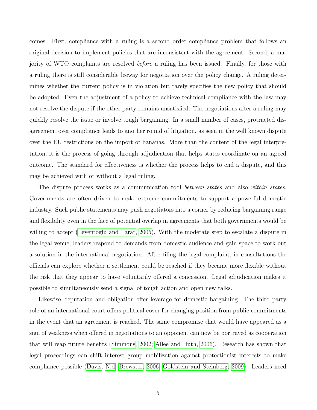comes. First, compliance with a ruling is a second order compliance problem that follows an original decision to implement policies that are inconsistent with the agreement. Second, a majority of WTO complaints are resolved before a ruling has been issued. Finally, for those with a ruling there is still considerable leeway for negotiation over the policy change. A ruling determines whether the current policy is in violation but rarely specifies the new policy that should be adopted. Even the adjustment of a policy to achieve technical compliance with the law may not resolve the dispute if the other party remains unsatisfied. The negotiations after a ruling may quickly resolve the issue or involve tough bargaining. In a small number of cases, protracted disagreement over compliance leads to another round of litigation, as seen in the well known dispute over the EU restrictions on the import of bananas. More than the content of the legal interpretation, it is the process of going through adjudication that helps states coordinate on an agreed outcome. The standard for effectiveness is whether the process helps to end a dispute, and this may be achieved with or without a legal ruling.

The dispute process works as a communication tool between states and also within states. Governments are often driven to make extreme commitments to support a powerful domestic industry. Such public statements may push negotiators into a corner by reducing bargaining range and flexibility even in the face of potential overlap in agreements that both governments would be willing to accept [\(Leventoglu and Tarar, 2005\)](#page-41-7). With the moderate step to escalate a dispute in the legal venue, leaders respond to demands from domestic audience and gain space to work out a solution in the international negotiation. After filing the legal complaint, in consultations the officials can explore whether a settlement could be reached if they became more flexible without the risk that they appear to have voluntarily offered a concession. Legal adjudication makes it possible to simultaneously send a signal of tough action and open new talks.

Likewise, reputation and obligation offer leverage for domestic bargaining. The third party role of an international court offers political cover for changing position from public commitments in the event that an agreement is reached. The same compromise that would have appeared as a sign of weakness when offered in negotiations to an opponent can now be portrayed as cooperation that will reap future benefits [\(Simmons, 2002;](#page-42-4) [Allee and Huth, 2006\)](#page-38-8). Research has shown that legal proceedings can shift interest group mobilization against protectionist interests to make compliance possible [\(Davis, N.d;](#page-39-9) [Brewster, 2006;](#page-38-9) [Goldstein and Steinberg, 2009\)](#page-40-9). Leaders need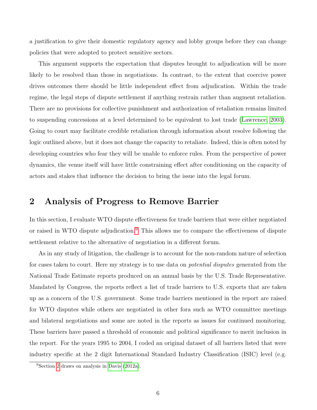a justification to give their domestic regulatory agency and lobby groups before they can change policies that were adopted to protect sensitive sectors.

This argument supports the expectation that disputes brought to adjudication will be more likely to be resolved than those in negotiations. In contrast, to the extent that coercive power drives outcomes there should be little independent effect from adjudication. Within the trade regime, the legal steps of dispute settlement if anything restrain rather than augment retaliation. There are no provisions for collective punishment and authorization of retaliation remains limited to suspending concessions at a level determined to be equivalent to lost trade [\(Lawrence, 2003\)](#page-41-8). Going to court may facilitate credible retaliation through information about resolve following the logic outlined above, but it does not change the capacity to retaliate. Indeed, this is often noted by developing countries who fear they will be unable to enforce rules. From the perspective of power dynamics, the venue itself will have little constraining effect after conditioning on the capacity of actors and stakes that influence the decision to bring the issue into the legal forum.

## <span id="page-7-1"></span>2 Analysis of Progress to Remove Barrier

In this section, I evaluate WTO dispute effectiveness for trade barriers that were either negotiated or raised in WTO dispute adjudication.<sup>[9](#page-7-0)</sup> This allows me to compare the effectiveness of dispute settlement relative to the alternative of negotiation in a different forum.

As in any study of litigation, the challenge is to account for the non-random nature of selection for cases taken to court. Here my strategy is to use data on *potential disputes* generated from the National Trade Estimate reports produced on an annual basis by the U.S. Trade Representative. Mandated by Congress, the reports reflect a list of trade barriers to U.S. exports that are taken up as a concern of the U.S. government. Some trade barriers mentioned in the report are raised for WTO disputes while others are negotiated in other fora such as WTO committee meetings and bilateral negotiations and some are noted in the reports as issues for continued monitoring. These barriers have passed a threshold of economic and political significance to merit inclusion in the report. For the years 1995 to 2004, I coded an original dataset of all barriers listed that were industry specific at the 2 digit International Standard Industry Classification (ISIC) level (e.g.

<span id="page-7-0"></span><sup>9</sup>Section [2](#page-7-1) draws on analysis in [Davis](#page-39-5) [\(2012a\)](#page-39-5).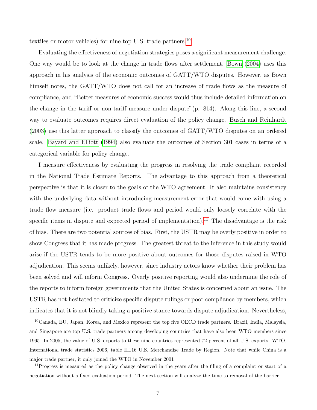textiles or motor vehicles) for nine top U.S. trade partners.<sup>[10](#page-8-0)</sup>

Evaluating the effectiveness of negotiation strategies poses a significant measurement challenge. One way would be to look at the change in trade flows after settlement. [Bown](#page-38-2) [\(2004\)](#page-38-2) uses this approach in his analysis of the economic outcomes of GATT/WTO disputes. However, as Bown himself notes, the GATT/WTO does not call for an increase of trade flows as the measure of compliance, and "Better measures of economic success would thus include detailed information on the change in the tariff or non-tariff measure under dispute"(p. 814). Along this line, a second way to evaluate outcomes requires direct evaluation of the policy change. [Busch and Reinhardt](#page-38-4) [\(2003\)](#page-38-4) use this latter approach to classify the outcomes of GATT/WTO disputes on an ordered scale. [Bayard and Elliott](#page-38-10) [\(1994\)](#page-38-10) also evaluate the outcomes of Section 301 cases in terms of a categorical variable for policy change.

I measure effectiveness by evaluating the progress in resolving the trade complaint recorded in the National Trade Estimate Reports. The advantage to this approach from a theoretical perspective is that it is closer to the goals of the WTO agreement. It also maintains consistency with the underlying data without introducing measurement error that would come with using a trade flow measure (i.e. product trade flows and period would only loosely correlate with the specific items in dispute and expected period of implementation).<sup>[11](#page-8-1)</sup> The disadvantage is the risk of bias. There are two potential sources of bias. First, the USTR may be overly positive in order to show Congress that it has made progress. The greatest threat to the inference in this study would arise if the USTR tends to be more positive about outcomes for those disputes raised in WTO adjudication. This seems unlikely, however, since industry actors know whether their problem has been solved and will inform Congress. Overly positive reporting would also undermine the role of the reports to inform foreign governments that the United States is concerned about an issue. The USTR has not hesitated to criticize specific dispute rulings or poor compliance by members, which indicates that it is not blindly taking a positive stance towards dispute adjudication. Nevertheless,

<span id="page-8-0"></span><sup>10</sup>Canada, EU, Japan, Korea, and Mexico represent the top five OECD trade partners. Brazil, India, Malaysia, and Singapore are top U.S. trade partners among developing countries that have also been WTO members since 1995. In 2005, the value of U.S. exports to these nine countries represented 72 percent of all U.S. exports. WTO, International trade statistics 2006, table III.16 U.S. Merchandise Trade by Region. Note that while China is a major trade partner, it only joined the WTO in November 2001

<span id="page-8-1"></span><sup>&</sup>lt;sup>11</sup>Progress is measured as the policy change observed in the years after the filing of a complaint or start of a negotiation without a fixed evaluation period. The next section will analyze the time to removal of the barrier.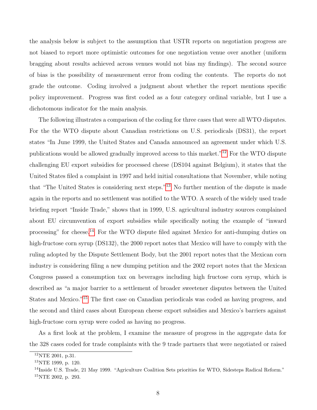the analysis below is subject to the assumption that USTR reports on negotiation progress are not biased to report more optimistic outcomes for one negotiation venue over another (uniform bragging about results achieved across venues would not bias my findings). The second source of bias is the possibility of measurement error from coding the contents. The reports do not grade the outcome. Coding involved a judgment about whether the report mentions specific policy improvement. Progress was first coded as a four category ordinal variable, but I use a dichotomous indicator for the main analysis.

The following illustrates a comparison of the coding for three cases that were all WTO disputes. For the the WTO dispute about Canadian restrictions on U.S. periodicals (DS31), the report states "In June 1999, the United States and Canada announced an agreement under which U.S. publications would be allowed gradually improved access to this market."<sup>[12](#page-9-0)</sup> For the WTO dispute challenging EU export subsidies for processed cheese (DS104 against Belgium), it states that the United States filed a complaint in 1997 and held initial consultations that November, while noting that "The United States is considering next steps."[13](#page-9-1) No further mention of the dispute is made again in the reports and no settlement was notified to the WTO. A search of the widely used trade briefing report "Inside Trade," shows that in 1999, U.S. agricultural industry sources complained about EU circumvention of export subsidies while specifically noting the example of "inward processing" for cheese.[14](#page-9-2) For the WTO dispute filed against Mexico for anti-dumping duties on high-fructose corn syrup (DS132), the 2000 report notes that Mexico will have to comply with the ruling adopted by the Dispute Settlement Body, but the 2001 report notes that the Mexican corn industry is considering filing a new dumping petition and the 2002 report notes that the Mexican Congress passed a consumption tax on beverages including high fructose corn syrup, which is described as "a major barrier to a settlement of broader sweetener disputes between the United States and Mexico."[15](#page-9-3) The first case on Canadian periodicals was coded as having progress, and the second and third cases about European cheese export subsidies and Mexico's barriers against high-fructose corn syrup were coded as having no progress.

As a first look at the problem, I examine the measure of progress in the aggregate data for the 328 cases coded for trade complaints with the 9 trade partners that were negotiated or raised

<span id="page-9-1"></span><span id="page-9-0"></span> $12$ NTE 2001, p.31.

<span id="page-9-2"></span><sup>13</sup>NTE 1999, p. 120.

<span id="page-9-3"></span><sup>&</sup>lt;sup>14</sup>Inside U.S. Trade, 21 May 1999. "Agriculture Coalition Sets priorities for WTO, Sidesteps Radical Reform."  $15$ NTE 2002, p. 293.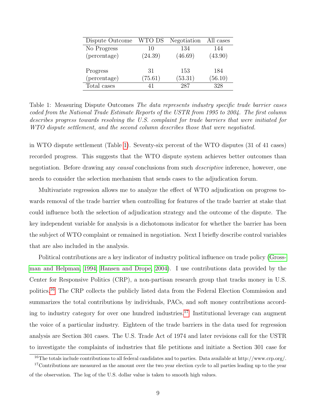| Dispute Outcome | WTO DS  | Negotiation | All cases |  |
|-----------------|---------|-------------|-----------|--|
| No Progress     | 10      | 134         | 144       |  |
| (percentage)    | (24.39) | (46.69)     | (43.90)   |  |
|                 |         |             |           |  |
| Progress        | 31      | 153         | 184       |  |
| (percentage)    | (75.61) | (53.31)     | (56.10)   |  |
| Total cases     | 41      | 287         | 328       |  |

<span id="page-10-0"></span>Table 1: Measuring Dispute Outcomes The data represents industry specific trade barrier cases coded from the National Trade Estimate Reports of the USTR from 1995 to 2004. The first column describes progress towards resolving the U.S. complaint for trade barriers that were initiated for WTO dispute settlement, and the second column describes those that were negotiated.

in WTO dispute settlement (Table [1\)](#page-10-0). Seventy-six percent of the WTO disputes (31 of 41 cases) recorded progress. This suggests that the WTO dispute system achieves better outcomes than negotiation. Before drawing any *causal* conclusions from such *descriptive* inference, however, one needs to consider the selection mechanism that sends cases to the adjudication forum.

Multivariate regression allows me to analyze the effect of WTO adjudication on progress towards removal of the trade barrier when controlling for features of the trade barrier at stake that could influence both the selection of adjudication strategy and the outcome of the dispute. The key independent variable for analysis is a dichotomous indicator for whether the barrier has been the subject of WTO complaint or remained in negotiation. Next I briefly describe control variables that are also included in the analysis.

Political contributions are a key indicator of industry political influence on trade policy [\(Gross](#page-40-10)[man and Helpman, 1994;](#page-40-10) [Hansen and Drope, 2004\)](#page-40-11). I use contributions data provided by the Center for Responsive Politics (CRP), a non-partisan research group that tracks money in U.S. politics.[16](#page-10-1) The CRP collects the publicly listed data from the Federal Election Commission and summarizes the total contributions by individuals, PACs, and soft money contributions accord-ing to industry category for over one hundred industries.<sup>[17](#page-10-2)</sup> Institutional leverage can augment the voice of a particular industry. Eighteen of the trade barriers in the data used for regression analysis are Section 301 cases. The U.S. Trade Act of 1974 and later revisions call for the USTR to investigate the complaints of industries that file petitions and initiate a Section 301 case for

<span id="page-10-2"></span><span id="page-10-1"></span><sup>16</sup>The totals include contributions to all federal candidates and to parties. Data available at http://www.crp.org/.

<sup>&</sup>lt;sup>17</sup>Contributions are measured as the amount over the two year election cycle to all parties leading up to the year

of the observation. The log of the U.S. dollar value is taken to smooth high values.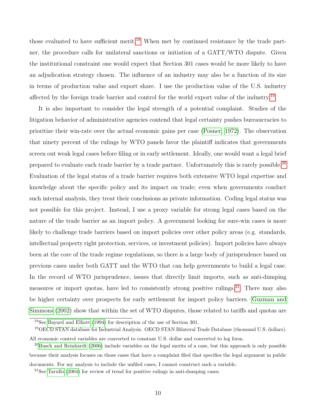those evaluated to have sufficient merit.<sup>[18](#page-11-0)</sup> When met by continued resistance by the trade partner, the procedure calls for unilateral sanctions or initiation of a GATT/WTO dispute. Given the institutional constraint one would expect that Section 301 cases would be more likely to have an adjudication strategy chosen. The influence of an industry may also be a function of its size in terms of production value and export share. I use the production value of the U.S. industry affected by the foreign trade barrier and control for the world export value of the industry.<sup>[19](#page-11-1)</sup>

It is also important to consider the legal strength of a potential complaint. Studies of the litigation behavior of administrative agencies contend that legal certainty pushes bureaucracies to prioritize their win-rate over the actual economic gains per case [\(Posner, 1972\)](#page-41-9). The observation that ninety percent of the rulings by WTO panels favor the plaintiff indicates that governments screen out weak legal cases before filing or in early settlement. Ideally, one would want a legal brief prepared to evaluate each trade barrier by a trade partner. Unfortunately this is rarely possible.<sup>[20](#page-11-2)</sup> Evaluation of the legal status of a trade barrier requires both extensive WTO legal expertise and knowledge about the specific policy and its impact on trade; even when governments conduct such internal analysis, they treat their conclusions as private information. Coding legal status was not possible for this project. Instead, I use a proxy variable for strong legal cases based on the nature of the trade barrier as an import policy. A government looking for sure-win cases is more likely to challenge trade barriers based on import policies over other policy areas (e.g. standards, intellectual property right protection, services, or investment policies). Import policies have always been at the core of the trade regime regulations, so there is a large body of jurisprudence based on previous cases under both GATT and the WTO that can help governments to build a legal case. In the record of WTO jurisprudence, issues that directly limit imports, such as anti-dumping measures or import quotas, have led to consistently strong positive rulings.<sup>[21](#page-11-3)</sup> There may also be higher certainty over prospects for early settlement for import policy barriers. [Guzman and](#page-40-1) [Simmons](#page-40-1) [\(2002\)](#page-40-1) show that within the set of WTO disputes, those related to tariffs and quotas are

<span id="page-11-1"></span><span id="page-11-0"></span><sup>18</sup>See [Bayard and Elliott](#page-38-10) [\(1994\)](#page-38-10) for description of the use of Section 301.

<sup>19</sup>OECD STAN database for Industrial Analysis. OECD STAN Bilateral Trade Database (thousand U.S. dollars). All economic control variables are converted to constant U.S. dollar and converted to log form.

<span id="page-11-2"></span> $^{20}$ [Busch and Reinhardt](#page-38-11) [\(2006\)](#page-38-11) include variables on the legal merits of a case, but this approach is only possible because their analysis focuses on those cases that have a complaint filed that specifies the legal argument in public documents. For my analysis to include the unfiled cases, I cannot construct such a variable.

<span id="page-11-3"></span><sup>21</sup>See [Tarullo](#page-42-5) [\(2004\)](#page-42-5) for review of trend for positive rulings in anti-dumping cases.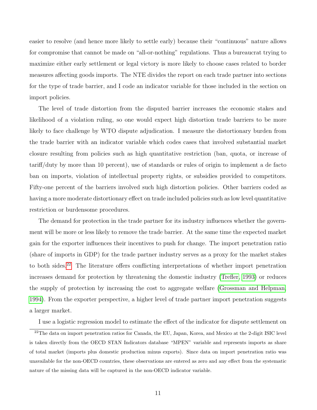easier to resolve (and hence more likely to settle early) because their "continuous" nature allows for compromise that cannot be made on "all-or-nothing" regulations. Thus a bureaucrat trying to maximize either early settlement or legal victory is more likely to choose cases related to border measures affecting goods imports. The NTE divides the report on each trade partner into sections for the type of trade barrier, and I code an indicator variable for those included in the section on import policies.

The level of trade distortion from the disputed barrier increases the economic stakes and likelihood of a violation ruling, so one would expect high distortion trade barriers to be more likely to face challenge by WTO dispute adjudication. I measure the distortionary burden from the trade barrier with an indicator variable which codes cases that involved substantial market closure resulting from policies such as high quantitative restriction (ban, quota, or increase of tariff/duty by more than 10 percent), use of standards or rules of origin to implement a de facto ban on imports, violation of intellectual property rights, or subsidies provided to competitors. Fifty-one percent of the barriers involved such high distortion policies. Other barriers coded as having a more moderate distortionary effect on trade included policies such as low level quantitative restriction or burdensome procedures.

The demand for protection in the trade partner for its industry influences whether the government will be more or less likely to remove the trade barrier. At the same time the expected market gain for the exporter influences their incentives to push for change. The import penetration ratio (share of imports in GDP) for the trade partner industry serves as a proxy for the market stakes to both sides.<sup>[22](#page-12-0)</sup> The literature offers conflicting interpretations of whether import penetration increases demand for protection by threatening the domestic industry [\(Trefler, 1993\)](#page-42-6) or reduces the supply of protection by increasing the cost to aggregate welfare [\(Grossman and Helpman,](#page-40-10) [1994\)](#page-40-10). From the exporter perspective, a higher level of trade partner import penetration suggests a larger market.

<span id="page-12-0"></span>I use a logistic regression model to estimate the effect of the indicator for dispute settlement on

<sup>&</sup>lt;sup>22</sup>The data on import penetration ratios for Canada, the EU, Japan, Korea, and Mexico at the 2-digit ISIC level is taken directly from the OECD STAN Indicators database "MPEN" variable and represents imports as share of total market (imports plus domestic production minus exports). Since data on import penetration ratio was unavailable for the non-OECD countries, these observations are entered as zero and any effect from the systematic nature of the missing data will be captured in the non-OECD indicator variable.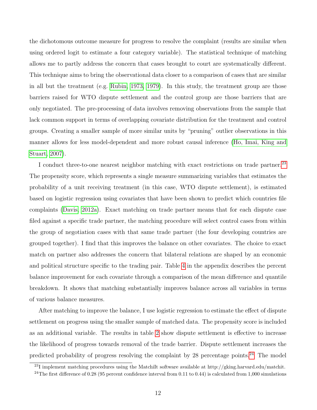the dichotomous outcome measure for progress to resolve the complaint (results are similar when using ordered logit to estimate a four category variable). The statistical technique of matching allows me to partly address the concern that cases brought to court are systematically different. This technique aims to bring the observational data closer to a comparison of cases that are similar in all but the treatment (e.g. [Rubin, 1973,](#page-41-10) [1979\)](#page-42-7). In this study, the treatment group are those barriers raised for WTO dispute settlement and the control group are those barriers that are only negotiated. The pre-processing of data involves removing observations from the sample that lack common support in terms of overlapping covariate distribution for the treatment and control groups. Creating a smaller sample of more similar units by "pruning" outlier observations in this manner allows for less model-dependent and more robust causal inference [\(Ho, Imai, King and](#page-40-12) [Stuart, 2007\)](#page-40-12).

I conduct three-to-one nearest neighbor matching with exact restrictions on trade partner.<sup>[23](#page-13-0)</sup> The propensity score, which represents a single measure summarizing variables that estimates the probability of a unit receiving treatment (in this case, WTO dispute settlement), is estimated based on logistic regression using covariates that have been shown to predict which countries file complaints [\(Davis, 2012a\)](#page-39-5). Exact matching on trade partner means that for each dispute case filed against a specific trade partner, the matching procedure will select control cases from within the group of negotiation cases with that same trade partner (the four developing countries are grouped together). I find that this improves the balance on other covariates. The choice to exact match on partner also addresses the concern that bilateral relations are shaped by an economic and political structure specific to the trading pair. Table [4](#page-36-0) in the appendix describes the percent balance improvement for each covariate through a comparison of the mean difference and quantile breakdown. It shows that matching substantially improves balance across all variables in terms of various balance measures.

After matching to improve the balance, I use logistic regression to estimate the effect of dispute settlement on progress using the smaller sample of matched data. The propensity score is included as an additional variable. The results in table [2](#page-14-0) show dispute settlement is effective to increase the likelihood of progress towards removal of the trade barrier. Dispute settlement increases the predicted probability of progress resolving the complaint by 28 percentage points.<sup>[24](#page-13-1)</sup> The model

<span id="page-13-1"></span><span id="page-13-0"></span><sup>&</sup>lt;sup>23</sup>I implement matching procedures using the MatchiIt software available at http://gking.harvard.edu/matchit.

<sup>&</sup>lt;sup>24</sup>The first difference of 0.28 (95 percent confidence interval from 0.11 to 0.44) is calculated from 1,000 simulations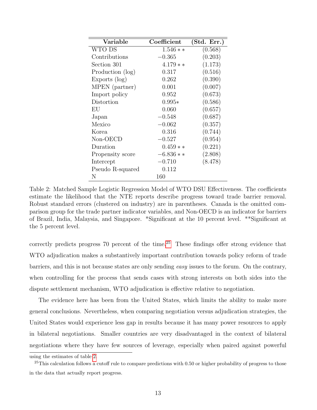| Variable         | Coefficient | (Std. Err.) |
|------------------|-------------|-------------|
| WTO DS           | $1.546**$   | (0.568)     |
| Contributions    | $-0.365$    | (0.203)     |
| Section 301      | $4.179**$   | (1.173)     |
| Production (log) | 0.317       | (0.516)     |
| Exports (log)    | 0.262       | (0.390)     |
| MPEN (partner)   | 0.001       | (0.007)     |
| Import policy    | 0.952       | (0.673)     |
| Distortion       | $0.995*$    | (0.586)     |
| ΕU               | 0.060       | (0.657)     |
| Japan            | $-0.548$    | (0.687)     |
| Mexico           | $-0.062$    | (0.357)     |
| Korea            | 0.316       | (0.744)     |
| Non-OECD         | $-0.527$    | (0.954)     |
| Duration         | $0.459**$   | (0.221)     |
| Propensity score | $-6.836**$  | (2.808)     |
| Intercept        | $-0.710$    | (8.478)     |
| Pseudo R-squared | 0.112       |             |
| N                | 160         |             |

<span id="page-14-0"></span>Table 2: Matched Sample Logistic Regression Model of WTO DSU Effectiveness. The coefficients estimate the likelihood that the NTE reports describe progress toward trade barrier removal. Robust standard errors (clustered on industry) are in parentheses. Canada is the omitted comparison group for the trade partner indicator variables, and Non-OECD is an indicator for barriers of Brazil, India, Malaysia, and Singapore. \*Significant at the 10 percent level. \*\*Significant at the 5 percent level.

correctly predicts progress 70 percent of the time.<sup>[25](#page-14-1)</sup> These findings offer strong evidence that WTO adjudication makes a substantively important contribution towards policy reform of trade barriers, and this is not because states are only sending easy issues to the forum. On the contrary, when controlling for the process that sends cases with strong interests on both sides into the dispute settlement mechanism, WTO adjudication is effective relative to negotiation.

The evidence here has been from the United States, which limits the ability to make more general conclusions. Nevertheless, when comparing negotiation versus adjudication strategies, the United States would experience less gap in results because it has many power resources to apply in bilateral negotiations. Smaller countries are very disadvantaged in the context of bilateral negotiations where they have few sources of leverage, especially when paired against powerful

<span id="page-14-1"></span>using the estimates of table [2.](#page-14-0)

 $^{25}$ This calculation follows a cutoff rule to compare predictions with 0.50 or higher probability of progress to those in the data that actually report progress.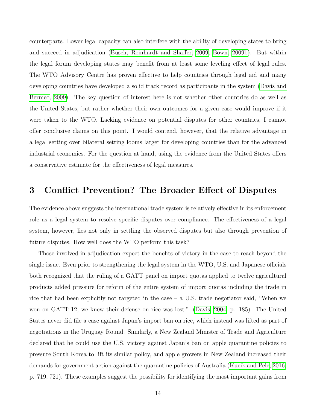counterparts. Lower legal capacity can also interfere with the ability of developing states to bring and succeed in adjudication [\(Busch, Reinhardt and Shaffer, 2009;](#page-39-10) [Bown, 2009b\)](#page-38-3). But within the legal forum developing states may benefit from at least some leveling effect of legal rules. The WTO Advisory Centre has proven effective to help countries through legal aid and many developing countries have developed a solid track record as participants in the system [\(Davis and](#page-39-11) [Bermeo, 2009\)](#page-39-11). The key question of interest here is not whether other countries do as well as the United States, but rather whether their own outcomes for a given case would improve if it were taken to the WTO. Lacking evidence on potential disputes for other countries, I cannot offer conclusive claims on this point. I would contend, however, that the relative advantage in a legal setting over bilateral setting looms larger for developing countries than for the advanced industrial economies. For the question at hand, using the evidence from the United States offers a conservative estimate for the effectiveness of legal measures.

## 3 Conflict Prevention? The Broader Effect of Disputes

The evidence above suggests the international trade system is relatively effective in its enforcement role as a legal system to resolve specific disputes over compliance. The effectiveness of a legal system, however, lies not only in settling the observed disputes but also through prevention of future disputes. How well does the WTO perform this task?

Those involved in adjudication expect the benefits of victory in the case to reach beyond the single issue. Even prior to strengthening the legal system in the WTO, U.S. and Japanese officials both recognized that the ruling of a GATT panel on import quotas applied to twelve agricultural products added pressure for reform of the entire system of import quotas including the trade in rice that had been explicitly not targeted in the case – a U.S. trade negotiator said, "When we won on GATT 12, we knew their defense on rice was lost." [\(Davis, 2004,](#page-39-12) p. 185). The United States never did file a case against Japan's import ban on rice, which instead was lifted as part of negotiations in the Uruguay Round. Similarly, a New Zealand Minister of Trade and Agriculture declared that he could use the U.S. victory against Japan's ban on apple quarantine policies to pressure South Korea to lift its similar policy, and apple growers in New Zealand increased their demands for government action against the quarantine policies of Australia [\(Kucik and Pelc, 2016,](#page-41-11) p. 719, 721). These examples suggest the possibility for identifying the most important gains from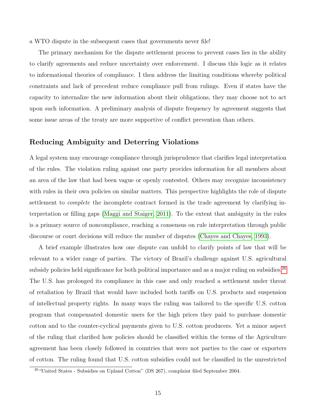a WTO dispute in the subsequent cases that governments never file!

The primary mechanism for the dispute settlement process to prevent cases lies in the ability to clarify agreements and reduce uncertainty over enforcement. I discuss this logic as it relates to informational theories of compliance. I then address the limiting conditions whereby political constraints and lack of precedent reduce compliance pull from rulings. Even if states have the capacity to internalize the new information about their obligations, they may choose not to act upon such information. A preliminary analysis of dispute frequency by agreement suggests that some issue areas of the treaty are more supportive of conflict prevention than others.

#### Reducing Ambiguity and Deterring Violations

A legal system may encourage compliance through jurisprudence that clarifies legal interpretation of the rules. The violation ruling against one party provides information for all members about an area of the law that had been vague or openly contested. Others may recognize inconsistency with rules in their own policies on similar matters. This perspective highlights the role of dispute settlement to *complete* the incomplete contract formed in the trade agreement by clarifying interpretation or filling gaps [\(Maggi and Staiger, 2011\)](#page-41-12). To the extent that ambiguity in the rules is a primary source of noncompliance, reaching a consensus on rule interpretation through public discourse or court decisions will reduce the number of disputes [\(Chayes and Chayes, 1993\)](#page-39-13).

A brief example illustrates how one dispute can unfold to clarify points of law that will be relevant to a wider range of parties. The victory of Brazil's challenge against U.S. agricultural subsidy policies held significance for both political importance and as a major ruling on subsidies.<sup>[26](#page-16-0)</sup> The U.S. has prolonged its compliance in this case and only reached a settlement under threat of retaliation by Brazil that would have included both tariffs on U.S. products and suspension of intellectual property rights. In many ways the ruling was tailored to the specific U.S. cotton program that compensated domestic users for the high prices they paid to purchase domestic cotton and to the counter-cyclical payments given to U.S. cotton producers. Yet a minor aspect of the ruling that clarified how policies should be classified within the terms of the Agriculture agreement has been closely followed in countries that were not parties to the case or exporters of cotton. The ruling found that U.S. cotton subsidies could not be classified in the unrestricted

<span id="page-16-0"></span><sup>26</sup>"United States - Subsidies on Upland Cotton" (DS 267), complaint filed September 2004.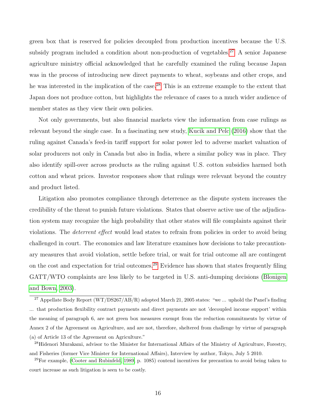green box that is reserved for policies decoupled from production incentives because the U.S. subsidy program included a condition about non-production of vegetables.<sup>[27](#page-17-0)</sup> A senior Japanese agriculture ministry official acknowledged that he carefully examined the ruling because Japan was in the process of introducing new direct payments to wheat, soybeans and other crops, and he was interested in the implication of the case.[28](#page-17-1) This is an extreme example to the extent that Japan does not produce cotton, but highlights the relevance of cases to a much wider audience of member states as they view their own policies.

Not only governments, but also financial markets view the information from case rulings as relevant beyond the single case. In a fascinating new study, [Kucik and Pelc](#page-41-11) [\(2016\)](#page-41-11) show that the ruling against Canada's feed-in tariff support for solar power led to adverse market valuation of solar producers not only in Canada but also in India, where a similar policy was in place. They also identify spill-over across products as the ruling against U.S. cotton subsidies harmed both cotton and wheat prices. Investor responses show that rulings were relevant beyond the country and product listed.

Litigation also promotes compliance through deterrence as the dispute system increases the credibility of the threat to punish future violations. States that observe active use of the adjudication system may recognize the high probability that other states will file complaints against their violations. The *deterrent effect* would lead states to refrain from policies in order to avoid being challenged in court. The economics and law literature examines how decisions to take precautionary measures that avoid violation, settle before trial, or wait for trial outcome all are contingent on the cost and expectation for trial outcomes.<sup>[29](#page-17-2)</sup> Evidence has shown that states frequently filing GATT/WTO complaints are less likely to be targeted in U.S. anti-dumping decisions [\(Blonigen](#page-38-12) [and Bown, 2003\)](#page-38-12).

<span id="page-17-0"></span><sup>&</sup>lt;sup>27</sup> Appellate Body Report (WT/DS267/AB/R) adopted March 21, 2005 states: "we ... uphold the Panel's finding ... that production flexibility contract payments and direct payments are not 'decoupled income support' within the meaning of paragraph 6, are not green box measures exempt from the reduction commitments by virtue of Annex 2 of the Agreement on Agriculture, and are not, therefore, sheltered from challenge by virtue of paragraph (a) of Article 13 of the Agreement on Agriculture."

<span id="page-17-1"></span><sup>&</sup>lt;sup>28</sup>Hidenori Murakami, advisor to the Minister for International Affairs of the Ministry of Agriculture, Forestry, and Fisheries (former Vice Minister for International Affairs), Interview by author, Tokyo, July 5 2010.

<span id="page-17-2"></span> $^{29}$ For example, [\(Cooter and Rubinfeld, 1989,](#page-39-14) p. 1085) contend incentives for precaution to avoid being taken to court increase as such litigation is seen to be costly.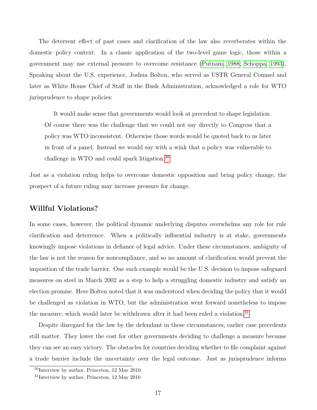The deterrent effect of past cases and clarification of the law also reverberates within the domestic policy context. In a classic application of the two-level game logic, those within a government may use external pressure to overcome resistance [\(Putnam, 1988;](#page-41-13) [Schoppa, 1993\)](#page-42-8). Speaking about the U.S. experience, Joshua Bolten, who served as USTR General Counsel and later as White House Chief of Staff in the Bush Administration, acknowledged a role for WTO jurisprudence to shape policies:

It would make sense that governments would look at precedent to shape legislation. Of course there was the challenge that we could not say directly to Congress that a policy was WTO inconsistent. Otherwise those words would be quoted back to us later in front of a panel. Instead we would say with a wink that a policy was vulnerable to challenge in WTO and could spark litigation.[30](#page-18-0)

Just as a violation ruling helps to overcome domestic opposition and bring policy change, the prospect of a future ruling may increase pressure for change.

#### Willful Violations?

In some cases, however, the political dynamic underlying disputes overwhelms any role for rule clarification and deterrence. When a politically influential industry is at stake, governments knowingly impose violations in defiance of legal advice. Under these circumstances, ambiguity of the law is not the reason for noncompliance, and so no amount of clarification would prevent the imposition of the trade barrier. One such example would be the U.S. decision to impose safeguard measures on steel in March 2002 as a step to help a struggling domestic industry and satisfy an election promise. Here Bolten noted that it was understood when deciding the policy that it would be challenged as violation in WTO, but the administration went forward nonetheless to impose the measure, which would later be withdrawn after it had been ruled a violation.<sup>[31](#page-18-1)</sup>

Despite disregard for the law by the defendant in these circumstances, earlier case precedents still matter. They lower the cost for other governments deciding to challenge a measure because they can see an easy victory. The obstacles for countries deciding whether to file complaint against a trade barrier include the uncertainty over the legal outcome. Just as jurisprudence informs

<span id="page-18-1"></span><span id="page-18-0"></span><sup>30</sup>Interview by author, Princeton, 12 May 2010

<sup>31</sup>Interview by author, Princeton, 12 May 2010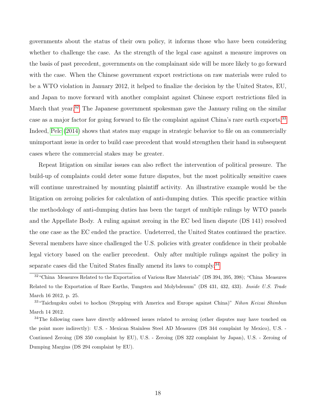governments about the status of their own policy, it informs those who have been considering whether to challenge the case. As the strength of the legal case against a measure improves on the basis of past precedent, governments on the complainant side will be more likely to go forward with the case. When the Chinese government export restrictions on raw materials were ruled to be a WTO violation in January 2012, it helped to finalize the decision by the United States, EU, and Japan to move forward with another complaint against Chinese export restrictions filed in March that year.<sup>[32](#page-19-0)</sup> The Japanese government spokesman gave the January ruling on the similar case as a major factor for going forward to file the complaint against China's rare earth exports.<sup>[33](#page-19-1)</sup> Indeed, [Pelc](#page-41-0) [\(2014\)](#page-41-0) shows that states may engage in strategic behavior to file on an commercially unimportant issue in order to build case precedent that would strengthen their hand in subsequent cases where the commercial stakes may be greater.

Repeat litigation on similar issues can also reflect the intervention of political pressure. The build-up of complaints could deter some future disputes, but the most politically sensitive cases will continue unrestrained by mounting plaintiff activity. An illustrative example would be the litigation on zeroing policies for calculation of anti-dumping duties. This specific practice within the methodology of anti-dumping duties has been the target of multiple rulings by WTO panels and the Appellate Body. A ruling against zeroing in the EC bed linen dispute (DS 141) resolved the one case as the EC ended the practice. Undeterred, the United States continued the practice. Several members have since challenged the U.S. policies with greater confidence in their probable legal victory based on the earlier precedent. Only after multiple rulings against the policy in separate cases did the United States finally amend its laws to comply.<sup>[34](#page-19-2)</sup>

<span id="page-19-2"></span> $34$ The following cases have directly addressed issues related to zeroing (other disputes may have touched on the point more indirectly): U.S. - Mexican Stainless Steel AD Measures (DS 344 complaint by Mexico), U.S. - Continued Zeroing (DS 350 complaint by EU), U.S. - Zeroing (DS 322 complaint by Japan), U.S. - Zeroing of Dumping Margins (DS 294 complaint by EU).

<span id="page-19-0"></span><sup>32</sup>"China Measures Related to the Exportation of Various Raw Materials" (DS 394, 395, 398); "China Measures Related to the Exportation of Rare Earths, Tungsten and Molybdenum" (DS 431, 432, 433). Inside U.S. Trade March 16 2012, p. 25.

<span id="page-19-1"></span><sup>&</sup>lt;sup>33</sup> "Taichugoku oubei to hochou (Stepping with America and Europe against China)" Nihon Keizai Shimbun March 14 2012.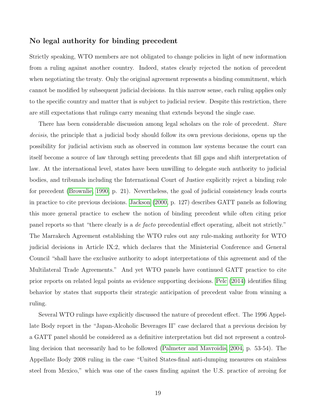#### No legal authority for binding precedent

Strictly speaking, WTO members are not obligated to change policies in light of new information from a ruling against another country. Indeed, states clearly rejected the notion of precedent when negotiating the treaty. Only the original agreement represents a binding commitment, which cannot be modified by subsequent judicial decisions. In this narrow sense, each ruling applies only to the specific country and matter that is subject to judicial review. Despite this restriction, there are still expectations that rulings carry meaning that extends beyond the single case.

There has been considerable discussion among legal scholars on the role of precedent. Stare decisis, the principle that a judicial body should follow its own previous decisions, opens up the possibility for judicial activism such as observed in common law systems because the court can itself become a source of law through setting precedents that fill gaps and shift interpretation of law. At the international level, states have been unwilling to delegate such authority to judicial bodies, and tribunals including the International Court of Justice explicitly reject a binding role for precedent [\(Brownlie, 1990,](#page-38-13) p. 21). Nevertheless, the goal of judicial consistency leads courts in practice to cite previous decisions. [Jackson](#page-40-13) [\(2000,](#page-40-13) p. 127) describes GATT panels as following this more general practice to eschew the notion of binding precedent while often citing prior panel reports so that "there clearly is a de facto precedential effect operating, albeit not strictly." The Marrakech Agreement establishing the WTO rules out any rule-making authority for WTO judicial decisions in Article IX:2, which declares that the Ministerial Conference and General Council "shall have the exclusive authority to adopt interpretations of this agreement and of the Multilateral Trade Agreements." And yet WTO panels have continued GATT practice to cite prior reports on related legal points as evidence supporting decisions. [Pelc](#page-41-0) [\(2014\)](#page-41-0) identifies filing behavior by states that supports their strategic anticipation of precedent value from winning a ruling.

Several WTO rulings have explicitly discussed the nature of precedent effect. The 1996 Appellate Body report in the "Japan-Alcoholic Beverages II" case declared that a previous decision by a GATT panel should be considered as a definitive interpretation but did not represent a controlling decision that necessarily had to be followed [\(Palmeter and Mavroidis, 2004,](#page-41-14) p. 53-54). The Appellate Body 2008 ruling in the case "United States-final anti-dumping measures on stainless steel from Mexico," which was one of the cases finding against the U.S. practice of zeroing for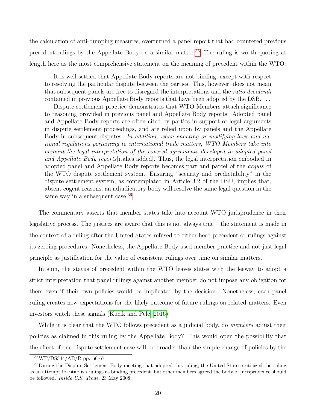the calculation of anti-dumping measures, overturned a panel report that had countered previous precedent rulings by the Appellate Body on a similar matter.[35](#page-21-0) The ruling is worth quoting at length here as the most comprehensive statement on the meaning of precedent within the WTO:

It is well settled that Appellate Body reports are not binding, except with respect to resolving the particular dispute between the parties. This, however, does not mean that subsequent panels are free to disregard the interpretations and the ratio decidendi contained in previous Appellate Body reports that have been adopted by the DSB. . . .

Dispute settlement practice demonstrates that WTO Members attach significance to reasoning provided in previous panel and Appellate Body reports. Adopted panel and Appellate Body reports are often cited by parties in support of legal arguments in dispute settlement proceedings, and are relied upon by panels and the Appellate Body in subsequent disputes. In addition, when enacting or modifying laws and national regulations pertaining to international trade matters, WTO Members take into account the legal interpretation of the covered agreements developed in adopted panel and Appellate Body reports italics added. Thus, the legal interpretation embodied in adopted panel and Appellate Body reports becomes part and parcel of the acquis of the WTO dispute settlement system. Ensuring "security and predictability" in the dispute settlement system, as contemplated in Article 3.2 of the DSU, implies that, absent cogent reasons, an adjudicatory body will resolve the same legal question in the same way in a subsequent case.<sup>[36](#page-21-1)</sup>

The commentary asserts that member states take into account WTO jurisprudence in their legislative process. The justices are aware that this is not always true – the statement is made in the context of a ruling after the United States refused to either heed precedent or rulings against its zeroing procedures. Nonetheless, the Appellate Body used member practice and not just legal principle as justification for the value of consistent rulings over time on similar matters.

In sum, the status of precedent within the WTO leaves states with the leeway to adopt a strict interpretation that panel rulings against another member do not impose any obligation for them even if their own policies would be implicated by the decision. Nonetheless, each panel ruling creates new expectations for the likely outcome of future rulings on related matters. Even investors watch these signals [\(Kucik and Pelc, 2016\)](#page-41-11).

While it is clear that the WTO follows precedent as a judicial body, do *members* adjust their policies as claimed in this ruling by the Appellate Body? This would open the possibility that the effect of one dispute settlement case will be broader than the simple change of policies by the

<span id="page-21-1"></span><span id="page-21-0"></span><sup>35</sup>WT/DS344/AB/R pp. 66-67

<sup>&</sup>lt;sup>36</sup>During the Dispute Settlement Body meeting that adopted this ruling, the United States criticized the ruling as an attempt to establish rulings as binding precedent, but other members agreed the body of jurisprudence should be followed. Inside U.S. Trade, 23 May 2008.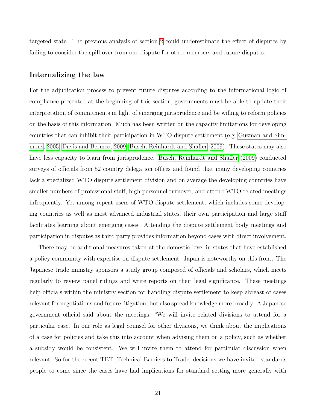targeted state. The previous analysis of section [2](#page-7-1) could underestimate the effect of disputes by failing to consider the spill-over from one dispute for other members and future disputes.

#### Internalizing the law

For the adjudication process to prevent future disputes according to the informational logic of compliance presented at the beginning of this section, governments must be able to update their interpretation of commitments in light of emerging jurisprudence and be willing to reform policies on the basis of this information. Much has been written on the capacity limitations for developing countries that can inhibit their participation in WTO dispute settlement (e.g. [Guzman and Sim](#page-40-14)[mons, 2005;](#page-40-14) [Davis and Bermeo, 2009;](#page-39-11) [Busch, Reinhardt and Shaffer, 2009\)](#page-39-10). These states may also have less capacity to learn from jurisprudence. [Busch, Reinhardt and Shaffer](#page-39-10) [\(2009\)](#page-39-10) conducted surveys of officials from 52 country delegation offices and found that many developing countries lack a specialized WTO dispute settlement division and on average the developing countries have smaller numbers of professional staff, high personnel turnover, and attend WTO related meetings infrequently. Yet among repeat users of WTO dispute settlement, which includes some developing countries as well as most advanced industrial states, their own participation and large staff facilitates learning about emerging cases. Attending the dispute settlement body meetings and participation in disputes as third party provides information beyond cases with direct involvement.

There may be additional measures taken at the domestic level in states that have established a policy community with expertise on dispute settlement. Japan is noteworthy on this front. The Japanese trade ministry sponsors a study group composed of officials and scholars, which meets regularly to review panel rulings and write reports on their legal significance. These meetings help officials within the ministry section for handling dispute settlement to keep abreast of cases relevant for negotiations and future litigation, but also spread knowledge more broadly. A Japanese government official said about the meetings, "We will invite related divisions to attend for a particular case. In our role as legal counsel for other divisions, we think about the implications of a case for policies and take this into account when advising them on a policy, such as whether a subsidy would be consistent. We will invite them to attend for particular discussion when relevant. So for the recent TBT [Technical Barriers to Trade] decisions we have invited standards people to come since the cases have had implications for standard setting more generally with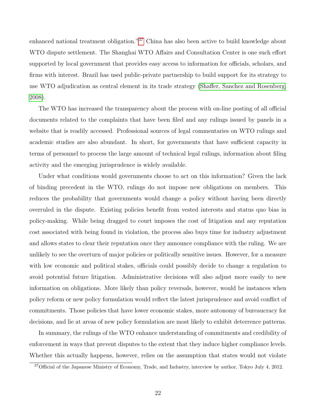enhanced national treatment obligation."<sup>[37](#page-23-0)</sup> China has also been active to build knowledge about WTO dispute settlement. The Shanghai WTO Affairs and Consultation Center is one such effort supported by local government that provides easy access to information for officials, scholars, and firms with interest. Brazil has used public-private partnership to build support for its strategy to use WTO adjudication as central element in its trade strategy [\(Shaffer, Sanchez and Rosenberg,](#page-42-9) [2008\)](#page-42-9).

The WTO has increased the transparency about the process with on-line posting of all official documents related to the complaints that have been filed and any rulings issued by panels in a website that is readily accessed. Professional sources of legal commentaries on WTO rulings and academic studies are also abundant. In short, for governments that have sufficient capacity in terms of personnel to process the large amount of technical legal rulings, information about filing activity and the emerging jurisprudence is widely available.

Under what conditions would governments choose to act on this information? Given the lack of binding precedent in the WTO, rulings do not impose new obligations on members. This reduces the probability that governments would change a policy without having been directly overruled in the dispute. Existing policies benefit from vested interests and status quo bias in policy-making. While being dragged to court imposes the cost of litigation and any reputation cost associated with being found in violation, the process also buys time for industry adjustment and allows states to clear their reputation once they announce compliance with the ruling. We are unlikely to see the overturn of major policies or politically sensitive issues. However, for a measure with low economic and political stakes, officials could possibly decide to change a regulation to avoid potential future litigation. Administrative decisions will also adjust more easily to new information on obligations. More likely than policy reversals, however, would be instances when policy reform or new policy formulation would reflect the latest jurisprudence and avoid conflict of commitments. Those policies that have lower economic stakes, more autonomy of bureaucracy for decisions, and lie at areas of new policy formulation are most likely to exhibit deterrence patterns.

In summary, the rulings of the WTO enhance understanding of commitments and credibility of enforcement in ways that prevent disputes to the extent that they induce higher compliance levels. Whether this actually happens, however, relies on the assumption that states would not violate

<span id="page-23-0"></span><sup>&</sup>lt;sup>37</sup>Official of the Japanese Ministry of Economy, Trade, and Industry, interview by author, Tokyo July 4, 2012.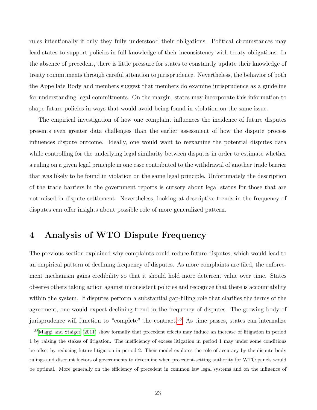rules intentionally if only they fully understood their obligations. Political circumstances may lead states to support policies in full knowledge of their inconsistency with treaty obligations. In the absence of precedent, there is little pressure for states to constantly update their knowledge of treaty commitments through careful attention to jurisprudence. Nevertheless, the behavior of both the Appellate Body and members suggest that members do examine jurisprudence as a guideline for understanding legal commitments. On the margin, states may incorporate this information to shape future policies in ways that would avoid being found in violation on the same issue.

The empirical investigation of how one complaint influences the incidence of future disputes presents even greater data challenges than the earlier assessment of how the dispute process influences dispute outcome. Ideally, one would want to reexamine the potential disputes data while controlling for the underlying legal similarity between disputes in order to estimate whether a ruling on a given legal principle in one case contributed to the withdrawal of another trade barrier that was likely to be found in violation on the same legal principle. Unfortunately the description of the trade barriers in the government reports is cursory about legal status for those that are not raised in dispute settlement. Nevertheless, looking at descriptive trends in the frequency of disputes can offer insights about possible role of more generalized pattern.

## 4 Analysis of WTO Dispute Frequency

The previous section explained why complaints could reduce future disputes, which would lead to an empirical pattern of declining frequency of disputes. As more complaints are filed, the enforcement mechanism gains credibility so that it should hold more deterrent value over time. States observe others taking action against inconsistent policies and recognize that there is accountability within the system. If disputes perform a substantial gap-filling role that clarifies the terms of the agreement, one would expect declining trend in the frequency of disputes. The growing body of jurisprudence will function to "complete" the contract.<sup>[38](#page-24-0)</sup> As time passes, states can internalize

<span id="page-24-0"></span><sup>38</sup>[Maggi and Staiger](#page-41-12) [\(2011\)](#page-41-12) show formally that precedent effects may induce an increase of litigation in period 1 by raising the stakes of litigation. The inefficiency of excess litigation in period 1 may under some conditions be offset by reducing future litigation in period 2. Their model explores the role of accuracy by the dispute body rulings and discount factors of governments to determine when precedent-setting authority for WTO panels would be optimal. More generally on the efficiency of precedent in common law legal systems and on the influence of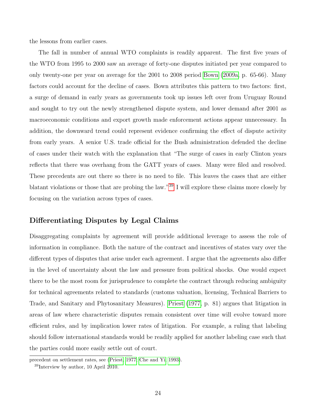the lessons from earlier cases.

The fall in number of annual WTO complaints is readily apparent. The first five years of the WTO from 1995 to 2000 saw an average of forty-one disputes initiated per year compared to only twenty-one per year on average for the 2001 to 2008 period [Bown](#page-38-14) [\(2009a,](#page-38-14) p. 65-66). Many factors could account for the decline of cases. Bown attributes this pattern to two factors: first, a surge of demand in early years as governments took up issues left over from Uruguay Round and sought to try out the newly strengthened dispute system, and lower demand after 2001 as macroeconomic conditions and export growth made enforcement actions appear unnecessary. In addition, the downward trend could represent evidence confirming the effect of dispute activity from early years. A senior U.S. trade official for the Bush administration defended the decline of cases under their watch with the explanation that "The surge of cases in early Clinton years reflects that there was overhang from the GATT years of cases. Many were filed and resolved. These precedents are out there so there is no need to file. This leaves the cases that are either blatant violations or those that are probing the law."[39](#page-25-0) I will explore these claims more closely by focusing on the variation across types of cases.

#### Differentiating Disputes by Legal Claims

Disaggregating complaints by agreement will provide additional leverage to assess the role of information in compliance. Both the nature of the contract and incentives of states vary over the different types of disputes that arise under each agreement. I argue that the agreements also differ in the level of uncertainty about the law and pressure from political shocks. One would expect there to be the most room for jurisprudence to complete the contract through reducing ambiguity for technical agreements related to standards (customs valuation, licensing, Technical Barriers to Trade, and Sanitary and Phytosanitary Measures). [Priest](#page-41-15) [\(1977,](#page-41-15) p. 81) argues that litigation in areas of law where characteristic disputes remain consistent over time will evolve toward more efficient rules, and by implication lower rates of litigation. For example, a ruling that labeling should follow international standards would be readily applied for another labeling case such that the parties could more easily settle out of court.

precedent on settlement rates, see [\(Priest, 1977;](#page-41-15) [Che and Yi, 1993\)](#page-39-15).

<span id="page-25-0"></span><sup>39</sup>Interview by author, 10 April 2010.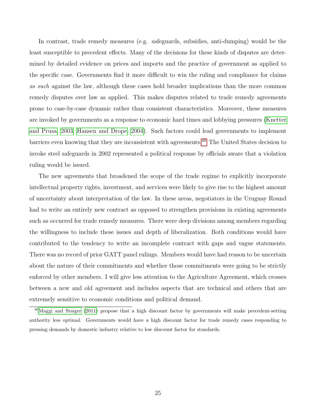In contrast, trade remedy measures (e.g. safeguards, subsidies, anti-dumping) would be the least susceptible to precedent effects. Many of the decisions for these kinds of disputes are determined by detailed evidence on prices and imports and the practice of government as applied to the specific case. Governments find it more difficult to win the ruling and compliance for claims as such against the law, although these cases hold broader implications than the more common remedy disputes over law as applied. This makes disputes related to trade remedy agreements prone to case-by-case dynamic rather than consistent characteristics. Moreover, these measures are invoked by governments as a response to economic hard times and lobbying pressures [\(Knetter](#page-41-16) [and Prusa, 2003;](#page-41-16) [Hansen and Drope, 2004\)](#page-40-11). Such factors could lead governments to implement barriers even knowing that they are inconsistent with agreements.<sup>[40](#page-26-0)</sup> The United States decision to invoke steel safeguards in 2002 represented a political response by officials aware that a violation ruling would be issued.

The new agreements that broadened the scope of the trade regime to explicitly incorporate intellectual property rights, investment, and services were likely to give rise to the highest amount of uncertainty about interpretation of the law. In these areas, negotiators in the Uruguay Round had to write an entirely new contract as opposed to strengthen provisions in existing agreements such as occurred for trade remedy measures. There were deep divisions among members regarding the willingness to include these issues and depth of liberalization. Both conditions would have contributed to the tendency to write an incomplete contract with gaps and vague statements. There was no record of prior GATT panel rulings. Members would have had reason to be uncertain about the nature of their commitments and whether those commitments were going to be strictly enforced by other members. I will give less attention to the Agriculture Agreement, which crosses between a new and old agreement and includes aspects that are technical and others that are extremely sensitive to economic conditions and political demand.

<span id="page-26-0"></span> $^{40}$ [Maggi and Staiger](#page-41-12) [\(2011\)](#page-41-12) propose that a high discount factor by governments will make precedent-setting authority less optimal. Governments would have a high discount factor for trade remedy cases responding to pressing demands by domestic industry relative to low discount factor for standards.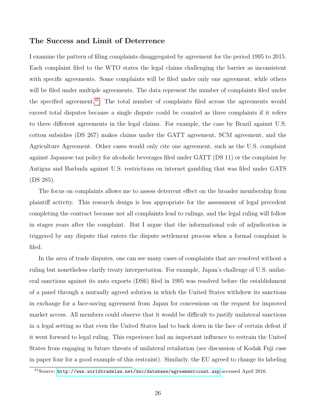#### The Success and Limit of Deterrence

I examine the pattern of filing complaints disaggregated by agreement for the period 1995 to 2015. Each complaint filed to the WTO states the legal claims challenging the barrier as inconsistent with specific agreements. Some complaints will be filed under only one agreement, while others will be filed under multiple agreements. The data represent the number of complaints filed under the specified agreement.<sup>[41](#page-27-0)</sup> The total number of complaints filed across the agreements would exceed total disputes because a single dispute could be counted as three complaints if it refers to three different agreements in the legal claims. For example, the case by Brazil against U.S. cotton subsidies (DS 267) makes claims under the GATT agreement, SCM agreement, and the Agriculture Agreement. Other cases would only cite one agreement, such as the U.S. complaint against Japanese tax policy for alcoholic beverages filed under GATT (DS 11) or the complaint by Antigua and Barbuda against U.S. restrictions on internet gambling that was filed under GATS (DS 285).

The focus on complaints allows me to assess deterrent effect on the broader membership from plaintiff activity. This research design is less appropriate for the assessment of legal precedent completing the contract because not all complaints lead to rulings, and the legal ruling will follow in stages years after the complaint. But I argue that the informational role of adjudication is triggered by any dispute that enters the dispute settlement process when a formal complaint is filed.

In the area of trade disputes, one can see many cases of complaints that are resolved without a ruling but nonetheless clarify treaty interpretation. For example, Japan's challenge of U.S. unilateral sanctions against its auto exports (DS6) filed in 1995 was resolved before the establishment of a panel through a mutually agreed solution in which the United States withdrew its sanctions in exchange for a face-saving agreement from Japan for concessions on the request for improved market access. All members could observe that it would be difficult to justify unilateral sanctions in a legal setting so that even the United States had to back down in the face of certain defeat if it went forward to legal ruling. This experience had an important influence to restrain the United States from engaging in future threats of unilateral retaliation (see discussion of Kodak Fuji case in paper four for a good example of this restraint). Similarly, the EU agreed to change its labeling

<span id="page-27-0"></span><sup>41</sup>Source: <http://www.worldtradelaw.net/dsc/database/agreementcount.asp> accessed April 2016.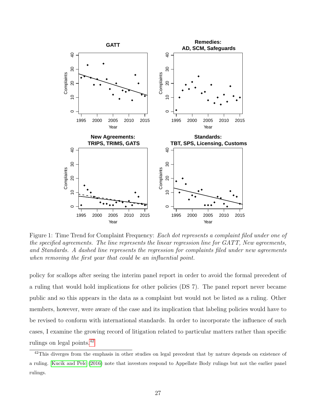

<span id="page-28-1"></span>Figure 1: Time Trend for Complaint Frequency: *Each dot represents a complaint filed under one of* the specified agreements. The line represents the linear regression line for GATT, New agreements, and Standards. A dashed line represents the regression for complaints filed under new agreements when removing the first year that could be an influential point.

policy for scallops after seeing the interim panel report in order to avoid the formal precedent of a ruling that would hold implications for other policies (DS 7). The panel report never became public and so this appears in the data as a complaint but would not be listed as a ruling. Other members, however, were aware of the case and its implication that labeling policies would have to be revised to conform with international standards. In order to incorporate the influence of such cases, I examine the growing record of litigation related to particular matters rather than specific rulings on legal points.[42](#page-28-0)

<span id="page-28-0"></span><sup>&</sup>lt;sup>42</sup>This diverges from the emphasis in other studies on legal precedent that by nature depends on existence of a ruling. [Kucik and Pelc](#page-41-11) [\(2016\)](#page-41-11) note that investors respond to Appellate Body rulings but not the earlier panel rulings.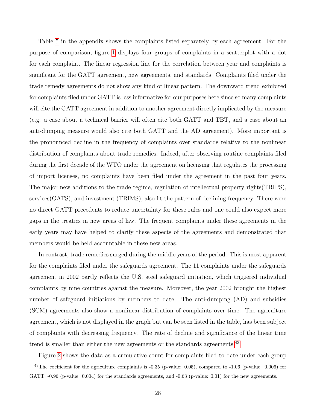Table [5](#page-37-0) in the appendix shows the complaints listed separately by each agreement. For the purpose of comparison, figure [1](#page-28-1) displays four groups of complaints in a scatterplot with a dot for each complaint. The linear regression line for the correlation between year and complaints is significant for the GATT agreement, new agreements, and standards. Complaints filed under the trade remedy agreements do not show any kind of linear pattern. The downward trend exhibited for complaints filed under GATT is less informative for our purposes here since so many complaints will cite the GATT agreement in addition to another agreement directly implicated by the measure (e.g. a case about a technical barrier will often cite both GATT and TBT, and a case about an anti-dumping measure would also cite both GATT and the AD agreement). More important is the pronounced decline in the frequency of complaints over standards relative to the nonlinear distribution of complaints about trade remedies. Indeed, after observing routine complaints filed during the first decade of the WTO under the agreement on licensing that regulates the processing of import licenses, no complaints have been filed under the agreement in the past four years. The major new additions to the trade regime, regulation of intellectual property rights(TRIPS), services(GATS), and investment (TRIMS), also fit the pattern of declining frequency. There were no direct GATT precedents to reduce uncertainty for these rules and one could also expect more gaps in the treaties in new areas of law. The frequent complaints under these agreements in the early years may have helped to clarify these aspects of the agreements and demonstrated that members would be held accountable in these new areas.

In contrast, trade remedies surged during the middle years of the period. This is most apparent for the complaints filed under the safeguards agreement. The 11 complaints under the safeguards agreement in 2002 partly reflects the U.S. steel safeguard initiation, which triggered individual complaints by nine countries against the measure. Moreover, the year 2002 brought the highest number of safeguard initiations by members to date. The anti-dumping (AD) and subsidies (SCM) agreements also show a nonlinear distribution of complaints over time. The agriculture agreement, which is not displayed in the graph but can be seen listed in the table, has been subject of complaints with decreasing frequency. The rate of decline and significance of the linear time trend is smaller than either the new agreements or the standards agreements.<sup>[43](#page-29-0)</sup>

<span id="page-29-0"></span>Figure [2](#page-30-0) shows the data as a cumulative count for complaints filed to date under each group

 $^{43}$ The coefficient for the agriculture complaints is  $-0.35$  (p-value: 0.05), compared to  $-1.06$  (p-value: 0.006) for GATT,  $-0.96$  (p-value: 0.004) for the standards agreements, and  $-0.63$  (p-value: 0.01) for the new agreements.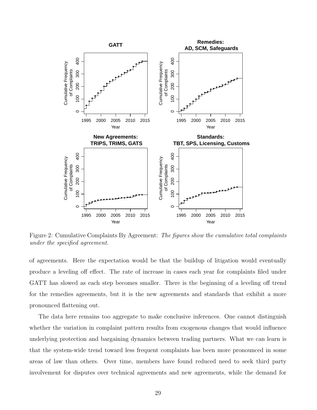

<span id="page-30-0"></span>Figure 2: Cumulative Complaints By Agreement: The figures show the cumulative total complaints under the specified agreement.

of agreements. Here the expectation would be that the buildup of litigation would eventually produce a leveling off effect. The rate of increase in cases each year for complaints filed under GATT has slowed as each step becomes smaller. There is the beginning of a leveling off trend for the remedies agreements, but it is the new agreements and standards that exhibit a more pronounced flattening out.

The data here remains too aggregate to make conclusive inferences. One cannot distinguish whether the variation in complaint pattern results from exogenous changes that would influence underlying protection and bargaining dynamics between trading partners. What we can learn is that the system-wide trend toward less frequent complaints has been more pronounced in some areas of law than others. Over time, members have found reduced need to seek third party involvement for disputes over technical agreements and new agreements, while the demand for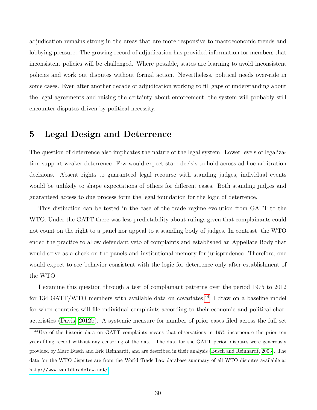adjudication remains strong in the areas that are more responsive to macroeconomic trends and lobbying pressure. The growing record of adjudication has provided information for members that inconsistent policies will be challenged. Where possible, states are learning to avoid inconsistent policies and work out disputes without formal action. Nevertheless, political needs over-ride in some cases. Even after another decade of adjudication working to fill gaps of understanding about the legal agreements and raising the certainty about enforcement, the system will probably still encounter disputes driven by political necessity.

## 5 Legal Design and Deterrence

The question of deterrence also implicates the nature of the legal system. Lower levels of legalization support weaker deterrence. Few would expect stare decisis to hold across ad hoc arbitration decisions. Absent rights to guaranteed legal recourse with standing judges, individual events would be unlikely to shape expectations of others for different cases. Both standing judges and guaranteed access to due process form the legal foundation for the logic of deterrence.

This distinction can be tested in the case of the trade regime evolution from GATT to the WTO. Under the GATT there was less predictability about rulings given that complainants could not count on the right to a panel nor appeal to a standing body of judges. In contrast, the WTO ended the practice to allow defendant veto of complaints and established an Appellate Body that would serve as a check on the panels and institutional memory for jurisprudence. Therefore, one would expect to see behavior consistent with the logic for deterrence only after establishment of the WTO.

I examine this question through a test of complainant patterns over the period 1975 to 2012 for 134 GATT/WTO members with available data on covariates.<sup>[44](#page-31-0)</sup> I draw on a baseline model for when countries will file individual complaints according to their economic and political characteristics [\(Davis, 2012b\)](#page-39-16). A systemic measure for number of prior cases filed across the full set

<span id="page-31-0"></span> $^{44}$ Use of the historic data on GATT complaints means that observations in 1975 incorporate the prior ten years filing record without any censoring of the data. The data for the GATT period disputes were generously provided by Marc Busch and Eric Reinhardt, and are described in their analysis [\(Busch and Reinhardt, 2003\)](#page-38-4). The data for the WTO disputes are from the World Trade Law database summary of all WTO disputes available at <http://www.worldtradelaw.net/>.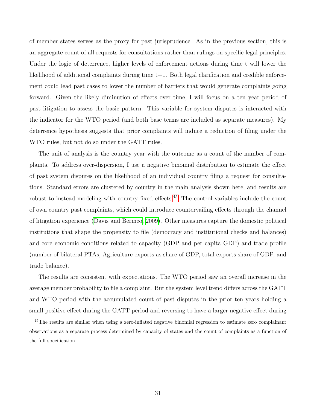of member states serves as the proxy for past jurisprudence. As in the previous section, this is an aggregate count of all requests for consultations rather than rulings on specific legal principles. Under the logic of deterrence, higher levels of enforcement actions during time t will lower the likelihood of additional complaints during time  $t+1$ . Both legal clarification and credible enforcement could lead past cases to lower the number of barriers that would generate complaints going forward. Given the likely diminution of effects over time, I will focus on a ten year period of past litigation to assess the basic pattern. This variable for system disputes is interacted with the indicator for the WTO period (and both base terms are included as separate measures). My deterrence hypothesis suggests that prior complaints will induce a reduction of filing under the WTO rules, but not do so under the GATT rules.

The unit of analysis is the country year with the outcome as a count of the number of complaints. To address over-dispersion, I use a negative binomial distribution to estimate the effect of past system disputes on the likelihood of an individual country filing a request for consultations. Standard errors are clustered by country in the main analysis shown here, and results are robust to instead modeling with country fixed effects.[45](#page-32-0) The control variables include the count of own country past complaints, which could introduce countervailing effects through the channel of litigation experience [\(Davis and Bermeo, 2009\)](#page-39-11). Other measures capture the domestic political institutions that shape the propensity to file (democracy and institutional checks and balances) and core economic conditions related to capacity (GDP and per capita GDP) and trade profile (number of bilateral PTAs, Agriculture exports as share of GDP, total exports share of GDP, and trade balance).

The results are consistent with expectations. The WTO period saw an overall increase in the average member probability to file a complaint. But the system level trend differs across the GATT and WTO period with the accumulated count of past disputes in the prior ten years holding a small positive effect during the GATT period and reversing to have a larger negative effect during

<span id="page-32-0"></span><sup>45</sup>The results are similar when using a zero-inflated negative binomial regression to estimate zero complainant observations as a separate process determined by capacity of states and the count of complaints as a function of the full specification.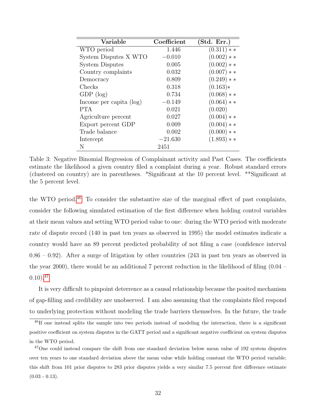| Variable                | Coefficient | (Std. Err.)   |
|-------------------------|-------------|---------------|
| WTO period              | 1.446       | $(0.311)**$   |
| System Disputes X WTO   | $-0.010$    | $(0.002)**$   |
| <b>System Disputes</b>  | 0.005       | $(0.002)**$   |
| Country complaints      | 0.032       | $(0.007)$ * * |
| Democracy               | 0.809       | $(0.249)**$   |
| Checks                  | 0.318       | $(0.163)*$    |
| $GDP$ (log)             | 0.734       | $(0.068)**$   |
| Income per capita (log) | $-0.149$    | $(0.064)**$   |
| <b>PTA</b>              | 0.021       | (0.020)       |
| Agriculture percent     | 0.027       | $(0.004)$ * * |
| Export percent GDP      | 0.009       | $(0.004)$ * * |
| Trade balance           | 0.002       | $(0.000)**$   |
| Intercept               | $-21.630$   | $(1.893)**$   |
| N                       | 2451        |               |

Table 3: Negative Binomial Regression of Complainant activity and Past Cases. The coefficients estimate the likelihood a given country filed a complaint during a year. Robust standard errors (clustered on country) are in parentheses. \*Significant at the 10 percent level. \*\*Significant at the 5 percent level.

the WTO period.<sup>[46](#page-33-0)</sup> To consider the substantive size of the marginal effect of past complaints, consider the following simulated estimation of the first difference when holding control variables at their mean values and setting WTO period value to one: during the WTO period with moderate rate of dispute record (140 in past ten years as observed in 1995) the model estimates indicate a country would have an 89 percent predicted probability of not filing a case (confidence interval  $0.86 - 0.92$ ). After a surge of litigation by other countries (243 in past ten years as observed in the year 2000), there would be an additional 7 percent reduction in the likelihood of filing  $(0.04 (0.10).^{47}$  $(0.10).^{47}$  $(0.10).^{47}$ 

It is very difficult to pinpoint deterrence as a causal relationship because the posited mechanism of gap-filling and credibility are unobserved. I am also assuming that the complaints filed respond to underlying protection without modeling the trade barriers themselves. In the future, the trade

<span id="page-33-0"></span> $^{46}$ If one instead splits the sample into two periods instead of modeling the interaction, there is a significant positive coefficient on system disputes in the GATT period and a significant negative coefficient on system disputes in the WTO period.

<span id="page-33-1"></span><sup>&</sup>lt;sup>47</sup>One could instead compare the shift from one standard deviation below mean value of 192 system disputes over ten years to one standard deviation above the mean value while holding constant the WTO period variable; this shift from 101 prior disputes to 283 prior disputes yields a very similar 7.5 percent first difference estimate  $(0.03 - 0.13).$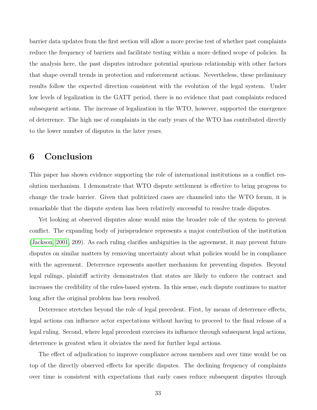barrier data updates from the first section will allow a more precise test of whether past complaints reduce the frequency of barriers and facilitate testing within a more defined scope of policies. In the analysis here, the past disputes introduce potential spurious relationship with other factors that shape overall trends in protection and enforcement actions. Nevertheless, these preliminary results follow the expected direction consistent with the evolution of the legal system. Under low levels of legalization in the GATT period, there is no evidence that past complaints reduced subsequent actions. The increase of legalization in the WTO, however, supported the emergence of deterrence. The high use of complaints in the early years of the WTO has contributed directly to the lower number of disputes in the later years.

## 6 Conclusion

This paper has shown evidence supporting the role of international institutions as a conflict resolution mechanism. I demonstrate that WTO dispute settlement is effective to bring progress to change the trade barrier. Given that politicized cases are channeled into the WTO forum, it is remarkable that the dispute system has been relatively successful to resolve trade disputes.

Yet looking at observed disputes alone would miss the broader role of the system to prevent conflict. The expanding body of jurisprudence represents a major contribution of the institution [\(Jackson, 2001,](#page-40-15) 209). As each ruling clarifies ambiguities in the agreement, it may prevent future disputes on similar matters by removing uncertainty about what policies would be in compliance with the agreement. Deterrence represents another mechanism for preventing disputes. Beyond legal rulings, plaintiff activity demonstrates that states are likely to enforce the contract and increases the credibility of the rules-based system. In this sense, each dispute continues to matter long after the original problem has been resolved.

Deterrence stretches beyond the role of legal precedent. First, by means of deterrence effects, legal actions can influence actor expectations without having to proceed to the final release of a legal ruling. Second, where legal precedent exercises its influence through subsequent legal actions, deterrence is greatest when it obviates the need for further legal actions.

The effect of adjudication to improve compliance across members and over time would be on top of the directly observed effects for specific disputes. The declining frequency of complaints over time is consistent with expectations that early cases reduce subsequent disputes through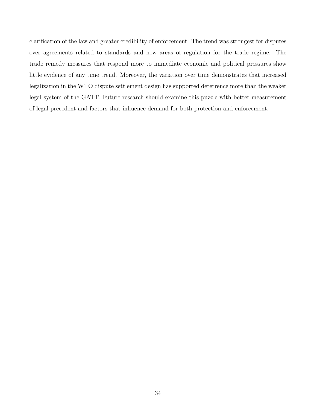clarification of the law and greater credibility of enforcement. The trend was strongest for disputes over agreements related to standards and new areas of regulation for the trade regime. The trade remedy measures that respond more to immediate economic and political pressures show little evidence of any time trend. Moreover, the variation over time demonstrates that increased legalization in the WTO dispute settlement design has supported deterrence more than the weaker legal system of the GATT. Future research should examine this puzzle with better measurement of legal precedent and factors that influence demand for both protection and enforcement.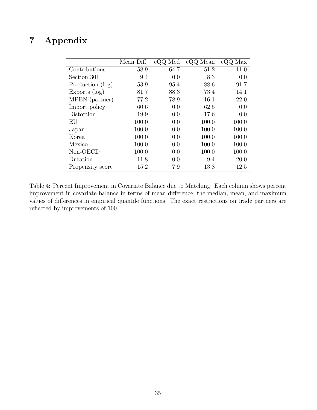## 7 Appendix

|                  | Mean Diff. | eQQ Med | eQQ Mean | eQQ Max |
|------------------|------------|---------|----------|---------|
| Contributions    | 58.9       | 64.7    | 51.2     | 11.0    |
| Section 301      | 9.4        | 0.0     | 8.3      | 0.0     |
| Production (log) | 53.9       | 95.4    | 88.6     | 91.7    |
| Exports (log)    | 81.7       | 88.3    | 73.4     | 14.1    |
| MPEN (partner)   | 77.2       | 78.9    | 16.1     | 22.0    |
| Import policy    | 60.6       | 0.0     | 62.5     | 0.0     |
| Distortion       | 19.9       | 0.0     | 17.6     | 0.0     |
| EU               | 100.0      | 0.0     | 100.0    | 100.0   |
| Japan            | 100.0      | 0.0     | 100.0    | 100.0   |
| Korea            | 100.0      | 0.0     | 100.0    | 100.0   |
| Mexico           | 100.0      | 0.0     | 100.0    | 100.0   |
| Non-OECD         | 100.0      | 0.0     | 100.0    | 100.0   |
| Duration         | 11.8       | 0.0     | 9.4      | 20.0    |
| Propensity score | 15.2       | 7.9     | 13.8     | 12.5    |

<span id="page-36-0"></span>Table 4: Percent Improvement in Covariate Balance due to Matching: Each column shows percent improvement in covariate balance in terms of mean difference, the median, mean, and maximum values of differences in empirical quantile functions. The exact restrictions on trade partners are reflected by improvements of 100.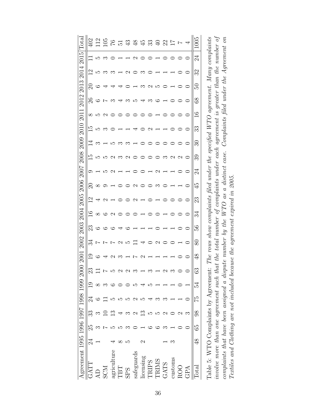| $\rm Total$                            | 402             |                          | 112                        |                   | F5799999215F |                   |                   |                |               |               |                   |               |                   | 4       | 1005          | tó                                                                                           |
|----------------------------------------|-----------------|--------------------------|----------------------------|-------------------|--------------|-------------------|-------------------|----------------|---------------|---------------|-------------------|---------------|-------------------|---------|---------------|----------------------------------------------------------------------------------------------|
| 2015                                   | $\Box$          | IJ                       | ಌ                          |                   |              |                   | $\mathbb{C}^n$    |                |               |               |                   |               |                   |         | 24            | complaints<br>number                                                                         |
| 2014                                   | $\overline{2}$  | J.                       | က                          | ಌ                 |              | ↘                 |                   |                |               |               |                   |               |                   | ⊂       | 32            | the<br>Many                                                                                  |
| 2013                                   | $\Omega$        | $\circ$                  |                            |                   |              |                   |                   |                | N             | Ľ             |                   |               |                   |         | 50            |                                                                                              |
| 2012                                   | 26              | $\circ$                  | $\overline{z}$             | S                 |              | ಌ                 | IJ                |                | ಌ             | అ             |                   |               |                   |         | 89            | greater than<br>a green ent.                                                                 |
| 2011                                   | $\infty$        |                          | 3200                       |                   | $\circ$      |                   |                   |                |               |               |                   |               |                   | ⊂       | $\frac{6}{1}$ | $s_2$                                                                                        |
| 2010                                   | $\frac{1}{5}$   | LC.                      | ಣ                          |                   |              |                   |                   |                | $\mathcal{C}$ |               |                   |               |                   | $\circ$ | 33            | agreement                                                                                    |
| 2009                                   | $\overline{14}$ | S                        |                            | L.                |              | ಌ                 |                   |                |               |               |                   |               |                   | $\circ$ | 30            | filed under the specified $WTO$                                                              |
| 2008                                   | $\frac{1}{2}$   |                          | ro ro co co                |                   |              | $\mathbf{\Omega}$ |                   |                |               |               | $\infty$          | $\sim$ $\sim$ |                   | ○       | ೫             | $\it{ach}$                                                                                   |
| 2007                                   | $\circ$         | $\overline{\phantom{0}}$ | LO                         | $\mathbf{\Omega}$ |              |                   |                   |                |               | N             |                   |               |                   |         | $^{24}$       | under                                                                                        |
| 2006                                   | $\Omega$        | $\infty$                 | $\Theta$                   |                   |              |                   | $\mathbf{\sim}$   |                |               | ಌ             |                   |               |                   |         | 45            | complants                                                                                    |
| 2005                                   | $\overline{2}$  | 4                        | $\mathfrak{a}$             |                   |              |                   | $\mathcal{C}$     |                |               |               |                   |               |                   |         | 23            |                                                                                              |
| 2004                                   | $\frac{6}{1}$   |                          | $\infty$ $\infty$ $\infty$ |                   |              | $\circ$           |                   |                |               |               |                   |               |                   | ⊂       | 34            | $\overline{c}$                                                                               |
| 2003                                   | 23              | $\circ$                  | $\mathbb{C}$               | ం                 |              | ం                 |                   |                |               |               |                   |               |                   | ⊂       | 56            | number                                                                                       |
| 2002                                   | 34              |                          |                            |                   |              |                   | $\Box$            | ↤              |               | $\mathcal{C}$ | $\circ$           |               |                   | $\circ$ | 80            | The rows show complaints                                                                     |
| 2001                                   | $\overline{01}$ | ပ                        |                            |                   |              |                   |                   |                |               |               |                   |               |                   |         | $\frac{8}{5}$ |                                                                                              |
|                                        | 23              | $\Xi$                    |                            | 520               |              | $\sim$ $\infty$   |                   |                |               |               | $\mathbf{\Omega}$ | ನ             |                   |         | 63            |                                                                                              |
|                                        | $\overline{1}$  | $\infty$                 | S                          | ం                 |              |                   | IJ                | ⇥              | LC.           |               |                   |               |                   |         | 54            |                                                                                              |
|                                        | 24              |                          |                            | S                 | ΙQ.          | L.                | $\mathbf{\Omega}$ | rC             |               |               |                   |               |                   |         | 52            |                                                                                              |
|                                        | 33              | S                        |                            | $\mathbb{C}$      | 4            | S                 | $\mathbf{\Omega}$ | $\mathbb{C}$   | LQ.           | FC            | $\mathcal{C}$     |               | $\mathbf{\Omega}$ | ಣ       | $\frac{8}{2}$ |                                                                                              |
|                                        | 25              | ಌ                        |                            | LC.               | IJ           | ಌ                 |                   |                |               |               |                   |               |                   |         | 65            |                                                                                              |
|                                        | 24              |                          |                            |                   | $\infty$     | IJ                |                   | $\mathbb{C}^1$ |               |               |                   | ಌ             |                   |         | 48            |                                                                                              |
| Agreement 1995 1996 1997 1998 1999 200 | GATT            | $\overline{AD}$          | <b>NOS</b>                 | agriculture       | TBT          | SP <sub>S</sub>   | safeguards        | licensing      | TRIPS         | TRIMS         | GATS              | customs       | ROO               | GPA     | Total         | involve more than one agreement such that the total<br>Table 5: WTO Complaints by Agreement: |

<span id="page-37-0"></span>

| Table 5: WTO Complaints by Agreement: The rows show complaints filed under the specified WTO agreement. Many complaints | involve more than one agreement such that the total number of complaints under each agreement is greater than the number of | complaints that have been assigned a dispute number by the WTO as a distinct case. Complaints filed under the Agreement on | Textiles and Clothing are not included because the agreement expired in 2005. |
|-------------------------------------------------------------------------------------------------------------------------|-----------------------------------------------------------------------------------------------------------------------------|----------------------------------------------------------------------------------------------------------------------------|-------------------------------------------------------------------------------|
|                                                                                                                         |                                                                                                                             |                                                                                                                            |                                                                               |
|                                                                                                                         |                                                                                                                             |                                                                                                                            |                                                                               |
|                                                                                                                         |                                                                                                                             |                                                                                                                            |                                                                               |
|                                                                                                                         |                                                                                                                             |                                                                                                                            |                                                                               |
|                                                                                                                         |                                                                                                                             |                                                                                                                            |                                                                               |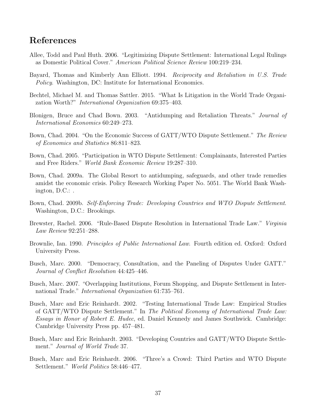## References

- <span id="page-38-8"></span>Allee, Todd and Paul Huth. 2006. "Legitimizing Dispute Settlement: International Legal Rulings as Domestic Political Cover." American Political Science Review 100:219–234.
- <span id="page-38-10"></span>Bayard, Thomas and Kimberly Ann Elliott. 1994. *Reciprocity and Retaliation in U.S. Trade* Policy. Washington, DC: Institute for International Economics.
- <span id="page-38-5"></span>Bechtel, Michael M. and Thomas Sattler. 2015. "What Is Litigation in the World Trade Organization Worth?" International Organization 69:375–403.
- <span id="page-38-12"></span>Blonigen, Bruce and Chad Bown. 2003. "Antidumping and Retaliation Threats." Journal of International Economics 60:249–273.
- <span id="page-38-2"></span>Bown, Chad. 2004. "On the Economic Success of GATT/WTO Dispute Settlement." The Review of Economics and Statistics 86:811–823.
- <span id="page-38-6"></span>Bown, Chad. 2005. "Participation in WTO Dispute Settlement: Complainants, Interested Parties and Free Riders." World Bank Economic Review 19:287–310.
- <span id="page-38-14"></span>Bown, Chad. 2009a. The Global Resort to antidumping, safeguards, and other trade remedies amidst the economic crisis. Policy Research Working Paper No. 5051. The World Bank Washington, D.C.: .
- <span id="page-38-3"></span>Bown, Chad. 2009b. Self-Enforcing Trade: Developing Countries and WTO Dispute Settlement. Washington, D.C.: Brookings.
- <span id="page-38-9"></span>Brewster, Rachel. 2006. "Rule-Based Dispute Resolution in International Trade Law." Virginia Law Review 92:251–288.
- <span id="page-38-13"></span>Brownlie, Ian. 1990. *Principles of Public International Law*. Fourth edition ed. Oxford: Oxford University Press.
- <span id="page-38-7"></span>Busch, Marc. 2000. "Democracy, Consultation, and the Paneling of Disputes Under GATT." Journal of Conflict Resolution 44:425–446.
- <span id="page-38-1"></span>Busch, Marc. 2007. "Overlapping Institutions, Forum Shopping, and Dispute Settlement in International Trade." International Organization 61:735–761.
- <span id="page-38-0"></span>Busch, Marc and Eric Reinhardt. 2002. "Testing International Trade Law: Empirical Studies of GATT/WTO Dispute Settlement." In The Political Economy of International Trade Law: Essays in Honor of Robert E. Hudec, ed. Daniel Kennedy and James Southwick. Cambridge: Cambridge University Press pp. 457–481.
- <span id="page-38-4"></span>Busch, Marc and Eric Reinhardt. 2003. "Developing Countries and GATT/WTO Dispute Settlement." *Journal of World Trade* 37.
- <span id="page-38-11"></span>Busch, Marc and Eric Reinhardt. 2006. "Three's a Crowd: Third Parties and WTO Dispute Settlement." World Politics 58:446–477.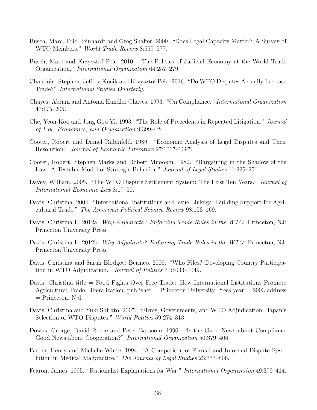- <span id="page-39-10"></span>Busch, Marc, Eric Reinhardt and Greg Shaffer. 2009. "Does Legal Capacity Matter? A Survey of WTO Members." World Trade Review 8:559–577.
- <span id="page-39-0"></span>Busch, Marc and Krzysztof Pelc. 2010. "The Politics of Judicial Economy at the World Trade Organization." International Organization 64:257–279.
- <span id="page-39-3"></span>Chaudoin, Stephen, Jeffrey Kucik and Krzysztof Pelc. 2016. "Do WTO Disputes Actually Increase Trade?" International Studies Quarterly.
- <span id="page-39-13"></span>Chayes, Abram and Antonia Handler Chayes. 1993. "On Compliance." International Organization 47:175–205.
- <span id="page-39-15"></span>Che, Yeon-Koo and Jong Goo Yi. 1993. "The Role of Precedents in Repeated Litigation." Journal of Law, Economics, and Organization 9:399–424.
- <span id="page-39-14"></span>Cooter, Robert and Daniel Rubinfeld. 1989. "Economic Analysis of Legal Disputes and Their Resolution." Journal of Economic Literature 27:1067–1097.
- <span id="page-39-7"></span>Cooter, Robert, Stephen Marks and Robert Mnookin. 1982. "Bargaining in the Shadow of the Law: A Testable Model of Strategic Behavior." Journal of Legal Studies 11:225–251.
- <span id="page-39-1"></span>Davey, William. 2005. "The WTO Dispute Settlement System: The First Ten Years." Journal of International Economic Law 8:17–50.
- <span id="page-39-12"></span>Davis, Christina. 2004. "International Institutions and Issue Linkage: Building Support for Agricultural Trade." The American Political Science Review 98:153–169.
- <span id="page-39-5"></span>Davis, Christina L. 2012a. *Why Adjudicate? Enforcing Trade Rules in the WTO*. Princeton, NJ: Princeton University Press.
- <span id="page-39-16"></span>Davis, Christina L. 2012b. Why Adjudicate? Enforcing Trade Rules in the WTO. Princeton, NJ: Princeton University Press.
- <span id="page-39-11"></span>Davis, Christina and Sarah Blodgett Bermeo. 2009. "Who Files? Developing Country Participation in WTO Adjudication." *Journal of Politics* 71:1033-1049.
- <span id="page-39-9"></span>Davis, Christina title = Food Fights Over Free Trade: How International Institutions Promote Agricultural Trade Liberalization, publisher = Princeton University Press year = 2003 address = Princeton. N.d.
- <span id="page-39-2"></span>Davis, Christina and Yuki Shirato. 2007. "Firms, Governments, and WTO Adjudication: Japan's Selection of WTO Disputes." *World Politics* 59:274–313.
- <span id="page-39-4"></span>Downs, George, David Rocke and Peter Barsoom. 1996. "Is the Good News about Compliance Good News about Cooperation?" International Organization 50:379–406.
- <span id="page-39-8"></span>Farber, Henry and Michelle White. 1994. "A Comparison of Formal and Informal Dispute Resolution in Medical Malpractice." The Journal of Legal Studies 23:777–806.
- <span id="page-39-6"></span>Fearon, James. 1995. "Rationalist Explanations for War." *International Organization* 49:379–414.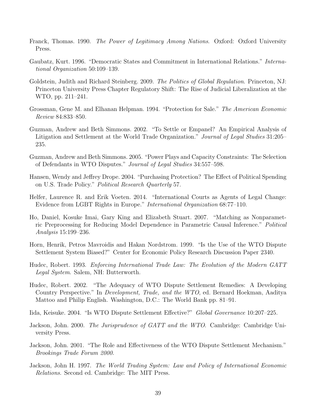- <span id="page-40-4"></span>Franck, Thomas. 1990. *The Power of Legitimacy Among Nations*. Oxford: Oxford University Press.
- <span id="page-40-5"></span>Gaubatz, Kurt. 1996. "Democratic States and Commitment in International Relations." International Organization 50:109–139.
- <span id="page-40-9"></span>Goldstein, Judith and Richard Steinberg. 2009. The Politics of Global Regulation. Princeton, NJ: Princeton University Press Chapter Regulatory Shift: The Rise of Judicial Liberalization at the WTO, pp. 211–241.
- <span id="page-40-10"></span>Grossman, Gene M. and Elhanan Helpman. 1994. "Protection for Sale." The American Economic Review 84:833–850.
- <span id="page-40-1"></span>Guzman, Andrew and Beth Simmons. 2002. "To Settle or Empanel? An Empirical Analysis of Litigation and Settlement at the World Trade Organization." Journal of Legal Studies 31:205– 235.
- <span id="page-40-14"></span>Guzman, Andrew and Beth Simmons. 2005. "Power Plays and Capacity Constraints: The Selection of Defendants in WTO Disputes." Journal of Legal Studies 34:557–598.
- <span id="page-40-11"></span>Hansen, Wendy and Jeffrey Drope. 2004. "Purchasing Protection? The Effect of Political Spending on U.S. Trade Policy." Political Research Quarterly 57.
- <span id="page-40-6"></span>Helfer, Laurence R. and Erik Voeten. 2014. "International Courts as Agents of Legal Change: Evidence from LGBT Rights in Europe." International Organization 68:77–110.
- <span id="page-40-12"></span>Ho, Daniel, Kosuke Imai, Gary King and Elizabeth Stuart. 2007. "Matching as Nonparametric Preprocessing for Reducing Model Dependence in Parametric Causal Inference." Political Analysis 15:199–236.
- <span id="page-40-3"></span>Horn, Henrik, Petros Mavroidis and Hakan Nordstrom. 1999. "Is the Use of the WTO Dispute Settlement System Biased?" Center for Economic Policy Research Discussion Paper 2340.
- <span id="page-40-0"></span>Hudec, Robert. 1993. Enforcing International Trade Law: The Evolution of the Modern GATT Legal System. Salem, NH: Butterworth.
- <span id="page-40-8"></span>Hudec, Robert. 2002. "The Adequacy of WTO Dispute Settlement Remedies: A Developing Country Perspective." In Development, Trade, and the WTO, ed. Bernard Hoekman, Aaditya Mattoo and Philip English. Washington, D.C.: The World Bank pp. 81–91.
- <span id="page-40-2"></span>Iida, Keisuke. 2004. "Is WTO Dispute Settlement Effective?" Global Governance 10:207–225.
- <span id="page-40-13"></span>Jackson, John. 2000. The Jurisprudence of GATT and the WTO. Cambridge: Cambridge University Press.
- <span id="page-40-15"></span>Jackson, John. 2001. "The Role and Effectiveness of the WTO Dispute Settlement Mechanism." Brookings Trade Forum 2000.
- <span id="page-40-7"></span>Jackson, John H. 1997. The World Trading System: Law and Policy of International Economic Relations. Second ed. Cambridge: The MIT Press.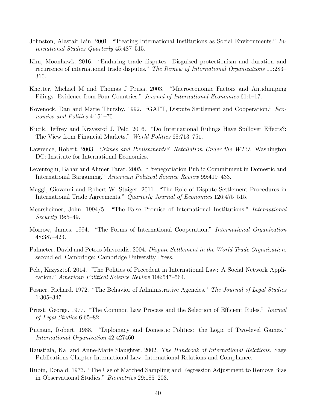- <span id="page-41-3"></span>Johnston, Alastair Iain. 2001. "Treating International Institutions as Social Environments." International Studies Quarterly 45:487–515.
- <span id="page-41-1"></span>Kim, Moonhawk. 2016. "Enduring trade disputes: Disguised protectionism and duration and recurrence of international trade disputes." The Review of International Organizations 11:283– 310.
- <span id="page-41-16"></span>Knetter, Michael M and Thomas J Prusa. 2003. "Macroeconomic Factors and Antidumping Filings: Evidence from Four Countries." Journal of International Economics 61:1–17.
- <span id="page-41-4"></span>Kovenock, Dan and Marie Thursby. 1992. "GATT, Dispute Settlement and Cooperation." Economics and Politics 4:151–70.
- <span id="page-41-11"></span>Kucik, Jeffrey and Krzysztof J. Pelc. 2016. "Do International Rulings Have Spillover Effects?: The View from Financial Markets." World Politics 68:713–751.
- <span id="page-41-8"></span>Lawrence, Robert. 2003. Crimes and Punishments? Retaliation Under the WTO. Washington DC: Institute for International Economics.
- <span id="page-41-7"></span>Leventoglu, Bahar and Ahmer Tarar. 2005. "Prenegotiation Public Commitment in Domestic and International Bargaining." American Political Science Review 99:419–433.
- <span id="page-41-12"></span>Maggi, Giovanni and Robert W. Staiger. 2011. "The Role of Dispute Settlement Procedures in International Trade Agreements." Quarterly Journal of Economics 126:475–515.
- <span id="page-41-2"></span>Mearsheimer, John. 1994/5. "The False Promise of International Institutions." International Security 19:5–49.
- <span id="page-41-5"></span>Morrow, James. 1994. "The Forms of International Cooperation." *International Organization* 48:387–423.
- <span id="page-41-14"></span>Palmeter, David and Petros Mavroidis. 2004. Dispute Settlement in the World Trade Organization. second ed. Cambridge: Cambridge University Press.
- <span id="page-41-0"></span>Pelc, Krzysztof. 2014. "The Politics of Precedent in International Law: A Social Network Application." American Political Science Review 108:547–564.
- <span id="page-41-9"></span>Posner, Richard. 1972. "The Behavior of Administrative Agencies." *The Journal of Legal Studies* 1:305–347.
- <span id="page-41-15"></span>Priest, George. 1977. "The Common Law Process and the Selection of Efficient Rules." Journal of Legal Studies 6:65–82.
- <span id="page-41-13"></span>Putnam, Robert. 1988. "Diplomacy and Domestic Politics: the Logic of Two-level Games." International Organization 42:427460.
- <span id="page-41-6"></span>Raustiala, Kal and Anne-Marie Slaughter. 2002. The Handbook of International Relations. Sage Publications Chapter International Law, International Relations and Compliance.
- <span id="page-41-10"></span>Rubin, Donald. 1973. "The Use of Matched Sampling and Regression Adjustment to Remove Bias in Observational Studies." Biometrics 29:185–203.